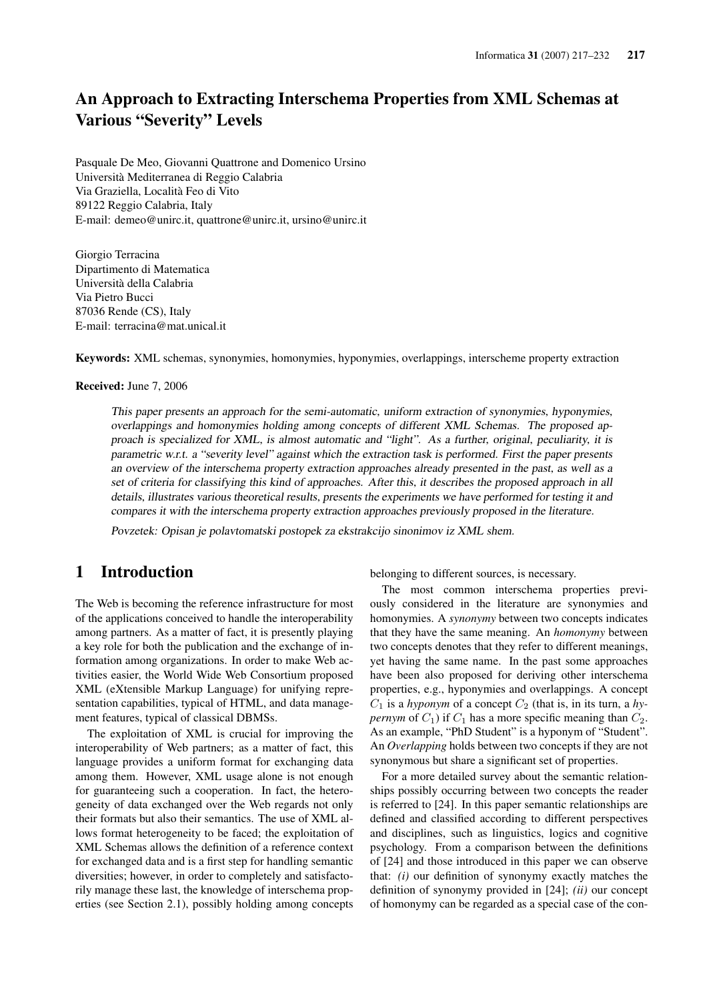# An Approach to Extracting Interschema Properties from XML Schemas at Various "Severity" Levels

Pasquale De Meo, Giovanni Quattrone and Domenico Ursino Università Mediterranea di Reggio Calabria Via Graziella, Località Feo di Vito 89122 Reggio Calabria, Italy E-mail: demeo@unirc.it, quattrone@unirc.it, ursino@unirc.it

Giorgio Terracina Dipartimento di Matematica Università della Calabria Via Pietro Bucci 87036 Rende (CS), Italy E-mail: terracina@mat.unical.it

Keywords: XML schemas, synonymies, homonymies, hyponymies, overlappings, interscheme property extraction

#### Received: June 7, 2006

This paper presents an approach for the semi-automatic, uniform extraction of synonymies, hyponymies, overlappings and homonymies holding among concepts of different XML Schemas. The proposed approach is specialized for XML, is almost automatic and "light". As <sup>a</sup> further, original, peculiarity, it is parametric w.r.t. <sup>a</sup> "severity level" against which the extraction task is performed. First the paper presents an overview of the interschema property extraction approaches already presented in the past, as well as <sup>a</sup> set of criteria for classifying this kind of approaches. After this, it describes the proposed approach in all details, illustrates various theoretical results, presents the experiments we have performed for testing it and compares it with the interschema property extraction approaches previously proposed in the literature.

Povzetek: Opisan je polavtomatski postopek za ekstrakcijo sinonimov iz XML shem.

# 1 Introduction

The Web is becoming the reference infrastructure for most of the applications conceived to handle the interoperability among partners. As a matter of fact, it is presently playing a key role for both the publication and the exchange of information among organizations. In order to make Web activities easier, the World Wide Web Consortium proposed XML (eXtensible Markup Language) for unifying representation capabilities, typical of HTML, and data management features, typical of classical DBMSs.

The exploitation of XML is crucial for improving the interoperability of Web partners; as a matter of fact, this language provides a uniform format for exchanging data among them. However, XML usage alone is not enough for guaranteeing such a cooperation. In fact, the heterogeneity of data exchanged over the Web regards not only their formats but also their semantics. The use of XML allows format heterogeneity to be faced; the exploitation of XML Schemas allows the definition of a reference context for exchanged data and is a first step for handling semantic diversities; however, in order to completely and satisfactorily manage these last, the knowledge of interschema properties (see Section 2.1), possibly holding among concepts

belonging to different sources, is necessary.

The most common interschema properties previously considered in the literature are synonymies and homonymies. A *synonymy* between two concepts indicates that they have the same meaning. An *homonymy* between two concepts denotes that they refer to different meanings, yet having the same name. In the past some approaches have been also proposed for deriving other interschema properties, e.g., hyponymies and overlappings. A concept  $C_1$  is a *hyponym* of a concept  $C_2$  (that is, in its turn, a *hypernym* of  $C_1$ ) if  $C_1$  has a more specific meaning than  $C_2$ . As an example, "PhD Student" is a hyponym of "Student". An *Overlapping* holds between two concepts if they are not synonymous but share a significant set of properties.

For a more detailed survey about the semantic relationships possibly occurring between two concepts the reader is referred to [24]. In this paper semantic relationships are defined and classified according to different perspectives and disciplines, such as linguistics, logics and cognitive psychology. From a comparison between the definitions of [24] and those introduced in this paper we can observe that: *(i)* our definition of synonymy exactly matches the definition of synonymy provided in [24]; *(ii)* our concept of homonymy can be regarded as a special case of the con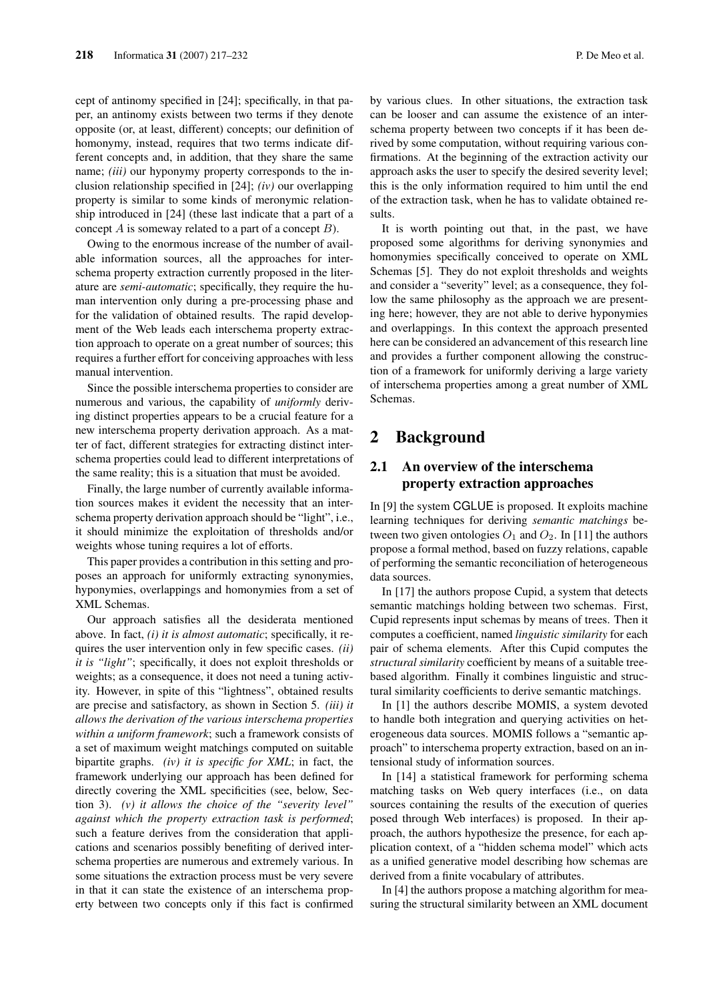cept of antinomy specified in [24]; specifically, in that paper, an antinomy exists between two terms if they denote opposite (or, at least, different) concepts; our definition of homonymy, instead, requires that two terms indicate different concepts and, in addition, that they share the same name; *(iii)* our hyponymy property corresponds to the inclusion relationship specified in [24]; *(iv)* our overlapping property is similar to some kinds of meronymic relationship introduced in [24] (these last indicate that a part of a concept  $A$  is someway related to a part of a concept  $B$ ).

Owing to the enormous increase of the number of available information sources, all the approaches for interschema property extraction currently proposed in the literature are *semi-automatic*; specifically, they require the human intervention only during a pre-processing phase and for the validation of obtained results. The rapid development of the Web leads each interschema property extraction approach to operate on a great number of sources; this requires a further effort for conceiving approaches with less manual intervention.

Since the possible interschema properties to consider are numerous and various, the capability of *uniformly* deriving distinct properties appears to be a crucial feature for a new interschema property derivation approach. As a matter of fact, different strategies for extracting distinct interschema properties could lead to different interpretations of the same reality; this is a situation that must be avoided.

Finally, the large number of currently available information sources makes it evident the necessity that an interschema property derivation approach should be "light", i.e., it should minimize the exploitation of thresholds and/or weights whose tuning requires a lot of efforts.

This paper provides a contribution in this setting and proposes an approach for uniformly extracting synonymies, hyponymies, overlappings and homonymies from a set of XML Schemas.

Our approach satisfies all the desiderata mentioned above. In fact, *(i) it is almost automatic*; specifically, it requires the user intervention only in few specific cases. *(ii) it is "light"*; specifically, it does not exploit thresholds or weights; as a consequence, it does not need a tuning activity. However, in spite of this "lightness", obtained results are precise and satisfactory, as shown in Section 5. *(iii) it allows the derivation of the various interschema properties within a uniform framework*; such a framework consists of a set of maximum weight matchings computed on suitable bipartite graphs. *(iv) it is specific for XML*; in fact, the framework underlying our approach has been defined for directly covering the XML specificities (see, below, Section 3). *(v) it allows the choice of the "severity level" against which the property extraction task is performed*; such a feature derives from the consideration that applications and scenarios possibly benefiting of derived interschema properties are numerous and extremely various. In some situations the extraction process must be very severe in that it can state the existence of an interschema property between two concepts only if this fact is confirmed

by various clues. In other situations, the extraction task can be looser and can assume the existence of an interschema property between two concepts if it has been derived by some computation, without requiring various confirmations. At the beginning of the extraction activity our approach asks the user to specify the desired severity level; this is the only information required to him until the end of the extraction task, when he has to validate obtained results.

It is worth pointing out that, in the past, we have proposed some algorithms for deriving synonymies and homonymies specifically conceived to operate on XML Schemas [5]. They do not exploit thresholds and weights and consider a "severity" level; as a consequence, they follow the same philosophy as the approach we are presenting here; however, they are not able to derive hyponymies and overlappings. In this context the approach presented here can be considered an advancement of this research line and provides a further component allowing the construction of a framework for uniformly deriving a large variety of interschema properties among a great number of XML Schemas.

## 2 Background

## 2.1 An overview of the interschema property extraction approaches

In [9] the system CGLUE is proposed. It exploits machine learning techniques for deriving *semantic matchings* between two given ontologies  $O_1$  and  $O_2$ . In [11] the authors propose a formal method, based on fuzzy relations, capable of performing the semantic reconciliation of heterogeneous data sources.

In [17] the authors propose Cupid, a system that detects semantic matchings holding between two schemas. First, Cupid represents input schemas by means of trees. Then it computes a coefficient, named *linguistic similarity* for each pair of schema elements. After this Cupid computes the *structural similarity* coefficient by means of a suitable treebased algorithm. Finally it combines linguistic and structural similarity coefficients to derive semantic matchings.

In [1] the authors describe MOMIS, a system devoted to handle both integration and querying activities on heterogeneous data sources. MOMIS follows a "semantic approach" to interschema property extraction, based on an intensional study of information sources.

In [14] a statistical framework for performing schema matching tasks on Web query interfaces (i.e., on data sources containing the results of the execution of queries posed through Web interfaces) is proposed. In their approach, the authors hypothesize the presence, for each application context, of a "hidden schema model" which acts as a unified generative model describing how schemas are derived from a finite vocabulary of attributes.

In [4] the authors propose a matching algorithm for measuring the structural similarity between an XML document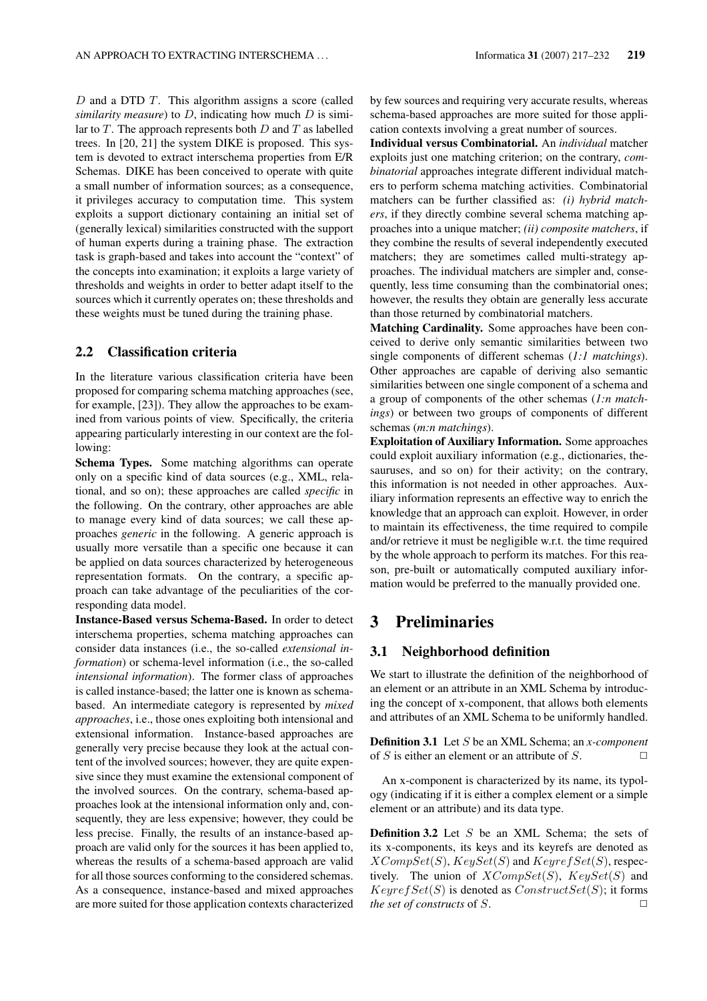$D$  and a DTD  $T$ . This algorithm assigns a score (called *similarity measure*) to  $D$ , indicating how much  $D$  is similar to  $T$ . The approach represents both  $D$  and  $T$  as labelled trees. In [20, 21] the system DIKE is proposed. This system is devoted to extract interschema properties from E/R Schemas. DIKE has been conceived to operate with quite a small number of information sources; as a consequence, it privileges accuracy to computation time. This system exploits a support dictionary containing an initial set of (generally lexical) similarities constructed with the support of human experts during a training phase. The extraction task is graph-based and takes into account the "context" of the concepts into examination; it exploits a large variety of thresholds and weights in order to better adapt itself to the sources which it currently operates on; these thresholds and these weights must be tuned during the training phase.

## 2.2 Classification criteria

In the literature various classification criteria have been proposed for comparing schema matching approaches (see, for example, [23]). They allow the approaches to be examined from various points of view. Specifically, the criteria appearing particularly interesting in our context are the following:

Schema Types. Some matching algorithms can operate only on a specific kind of data sources (e.g., XML, relational, and so on); these approaches are called *specific* in the following. On the contrary, other approaches are able to manage every kind of data sources; we call these approaches *generic* in the following. A generic approach is usually more versatile than a specific one because it can be applied on data sources characterized by heterogeneous representation formats. On the contrary, a specific approach can take advantage of the peculiarities of the corresponding data model.

Instance-Based versus Schema-Based. In order to detect interschema properties, schema matching approaches can consider data instances (i.e., the so-called *extensional information*) or schema-level information (i.e., the so-called *intensional information*). The former class of approaches is called instance-based; the latter one is known as schemabased. An intermediate category is represented by *mixed approaches*, i.e., those ones exploiting both intensional and extensional information. Instance-based approaches are generally very precise because they look at the actual content of the involved sources; however, they are quite expensive since they must examine the extensional component of the involved sources. On the contrary, schema-based approaches look at the intensional information only and, consequently, they are less expensive; however, they could be less precise. Finally, the results of an instance-based approach are valid only for the sources it has been applied to, whereas the results of a schema-based approach are valid for all those sources conforming to the considered schemas. As a consequence, instance-based and mixed approaches are more suited for those application contexts characterized

by few sources and requiring very accurate results, whereas schema-based approaches are more suited for those application contexts involving a great number of sources.

Individual versus Combinatorial. An *individual* matcher exploits just one matching criterion; on the contrary, *combinatorial* approaches integrate different individual matchers to perform schema matching activities. Combinatorial matchers can be further classified as: *(i) hybrid matchers*, if they directly combine several schema matching approaches into a unique matcher; *(ii) composite matchers*, if they combine the results of several independently executed matchers; they are sometimes called multi-strategy approaches. The individual matchers are simpler and, consequently, less time consuming than the combinatorial ones; however, the results they obtain are generally less accurate than those returned by combinatorial matchers.

Matching Cardinality. Some approaches have been conceived to derive only semantic similarities between two single components of different schemas (*1:1 matchings*). Other approaches are capable of deriving also semantic similarities between one single component of a schema and a group of components of the other schemas (*1:n matchings*) or between two groups of components of different schemas (*m:n matchings*).

Exploitation of Auxiliary Information. Some approaches could exploit auxiliary information (e.g., dictionaries, thesauruses, and so on) for their activity; on the contrary, this information is not needed in other approaches. Auxiliary information represents an effective way to enrich the knowledge that an approach can exploit. However, in order to maintain its effectiveness, the time required to compile and/or retrieve it must be negligible w.r.t. the time required by the whole approach to perform its matches. For this reason, pre-built or automatically computed auxiliary information would be preferred to the manually provided one.

# 3 Preliminaries

## 3.1 Neighborhood definition

We start to illustrate the definition of the neighborhood of an element or an attribute in an XML Schema by introducing the concept of x-component, that allows both elements and attributes of an XML Schema to be uniformly handled.

Definition 3.1 Let S be an XML Schema; an *x-component* of S is either an element or an attribute of S.  $\Box$ 

An x-component is characterized by its name, its typology (indicating if it is either a complex element or a simple element or an attribute) and its data type.

**Definition 3.2** Let  $S$  be an XML Schema; the sets of its x-components, its keys and its keyrefs are denoted as  $XCompSet(S)$ ,  $KeySet(S)$  and  $KeyrefSet(S)$ , respectively. The union of  $XCompSet(S)$ ,  $KeySet(S)$  and  $KeyrefSet(S)$  is denoted as  $ConstructSet(S)$ ; it forms *the set of constructs* of  $S$ .  $\Box$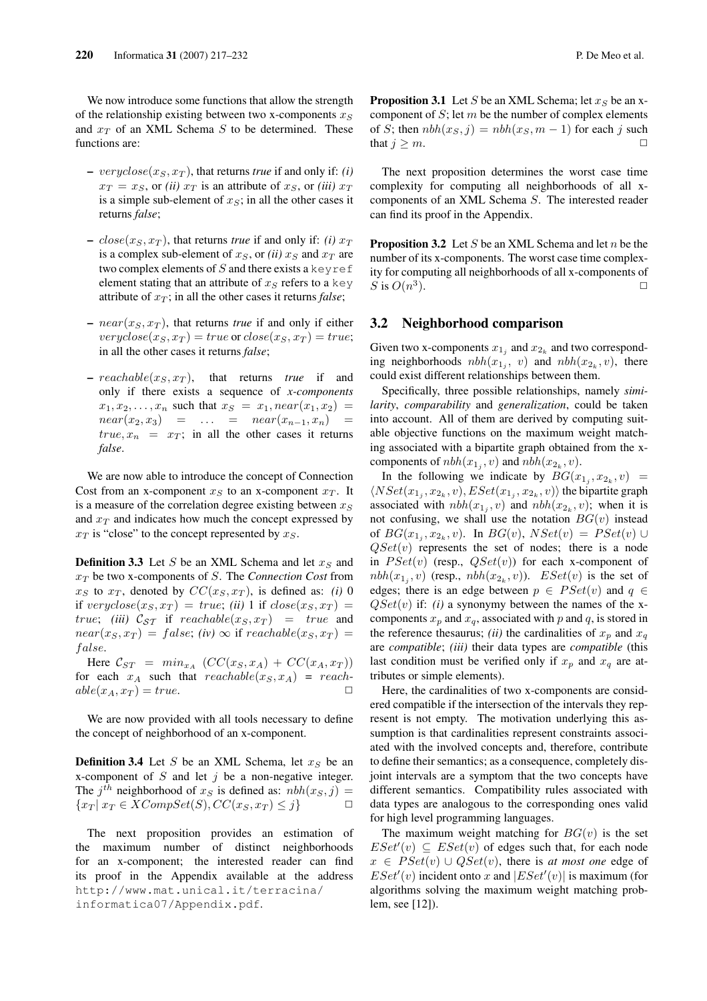We now introduce some functions that allow the strength of the relationship existing between two x-components  $x_S$ and  $x_T$  of an XML Schema  $S$  to be determined. These functions are:

- $-$  veryclose( $x_S, x_T$ ), that returns *true* if and only if: *(i)*  $x_T = x_S$ , or *(ii)*  $x_T$  is an attribute of  $x_S$ , or *(iii)*  $x_T$ is a simple sub-element of  $x<sub>S</sub>$ ; in all the other cases it returns *false*;
- $close(x_S, x_T)$ , that returns *true* if and only if: *(i)*  $x_T$ is a complex sub-element of  $x_S$ , or *(ii)*  $x_S$  and  $x_T$  are two complex elements of  $S$  and there exists a keyref element stating that an attribute of  $x_S$  refers to a key attribute of  $x_T$ ; in all the other cases it returns *false*;
- $near(x_S, x_T)$ , that returns *true* if and only if either  $veryclose(x_S, x_T) = true \text{ or } close(x_S, x_T) = true;$ in all the other cases it returns *false*;
- $\, reachable(x_S, x_T), \quad that \quad returns \quad true \quad if \quad and \quad$ only if there exists a sequence of *x-components*  $x_1, x_2, \ldots, x_n$  such that  $x_S = x_1, near(x_1, x_2) =$  $near(x_2, x_3) = \dots = near(x_{n-1}, x_n) =$  $true, x_n = x_T$ ; in all the other cases it returns *false*.

We are now able to introduce the concept of Connection Cost from an x-component  $x_S$  to an x-component  $x_T$ . It is a measure of the correlation degree existing between  $x<sub>S</sub>$ and  $x_T$  and indicates how much the concept expressed by  $x_T$  is "close" to the concept represented by  $x_S$ .

**Definition 3.3** Let S be an XML Schema and let  $x_S$  and  $x_T$  be two x-components of S. The *Connection Cost* from  $x_S$  to  $x_T$ , denoted by  $CC(x_S, x_T)$ , is defined as: *(i)* 0 if veryclose $(x_S, x_T) = true$ ; *(ii)* 1 if  $close(x_S, x_T) =$ true; *(iii)*  $C_{ST}$  if reachable $(x_S, x_T)$  = true and  $near(x_S, x_T) = false$ ; *(iv)*  $\infty$  if reachable(x<sub>S</sub>, x<sub>T</sub>) = false.

Here  $\mathcal{C}_{ST} = min_{x_A} (CC(x_S, x_A) + CC(x_A, x_T))$ for each  $x_A$  such that  $reachable(x_S, x_A) = reach$  $able(x_A, x_T) = true.$ 

We are now provided with all tools necessary to define the concept of neighborhood of an x-component.

**Definition 3.4** Let S be an XML Schema, let  $x_S$  be an x-component of  $S$  and let  $j$  be a non-negative integer. The  $j^{th}$  neighborhood of  $x_S$  is defined as:  $nbh(x_S, j) =$  ${x_T | x_T \in XCompSet(S), CC(x_S, x_T) \leq j}$   $\Box$ 

The next proposition provides an estimation of the maximum number of distinct neighborhoods for an x-component; the interested reader can find its proof in the Appendix available at the address http://www.mat.unical.it/terracina/ informatica07/Appendix.pdf.

**Proposition 3.1** Let S be an XML Schema; let  $x_S$  be an xcomponent of  $S$ ; let  $m$  be the number of complex elements of S; then  $nbh(x_S, j) = nbh(x_S, m - 1)$  for each j such that  $j > m$ .

The next proposition determines the worst case time complexity for computing all neighborhoods of all xcomponents of an XML Schema S. The interested reader can find its proof in the Appendix.

**Proposition 3.2** Let S be an XML Schema and let n be the number of its x-components. The worst case time complexity for computing all neighborhoods of all x-components of S is  $O(n^3)$ ).  $\qquad \qquad \Box$ 

### 3.2 Neighborhood comparison

Given two x-components  $x_{1j}$  and  $x_{2k}$  and two corresponding neighborhoods  $nbh(x_{1j}, v)$  and  $nbh(x_{2k}, v)$ , there could exist different relationships between them.

Specifically, three possible relationships, namely *similarity*, *comparability* and *generalization*, could be taken into account. All of them are derived by computing suitable objective functions on the maximum weight matching associated with a bipartite graph obtained from the xcomponents of  $nbh(x_{1j}, v)$  and  $nbh(x_{2k}, v)$ .

In the following we indicate by  $BG(x_{1_j}, x_{2_k}, v)$  =  $\langle NSet(x_{1j}, x_{2k}, v), ESet(x_{1j}, x_{2k}, v) \rangle$  the bipartite graph associated with  $nbh(x_{1j}, v)$  and  $nbh(x_{2k}, v)$ ; when it is not confusing, we shall use the notation  $BG(v)$  instead of  $BG(x_{1_j}, x_{2_k}, v)$ . In  $BG(v)$ ,  $NSet(v) = PSet(v) \cup$  $QSet(v)$  represents the set of nodes; there is a node in  $PSet(v)$  (resp.,  $QSet(v)$ ) for each x-component of  $nbh(x_{1_i}, v)$  (resp.,  $nbh(x_{2_k}, v)$ ).  $ESet(v)$  is the set of edges; there is an edge between  $p \in PSet(v)$  and  $q \in$  $QSet(v)$  if: *(i)* a synonymy between the names of the xcomponents  $x_p$  and  $x_q$ , associated with p and q, is stored in the reference thesaurus; *(ii)* the cardinalities of  $x_n$  and  $x_q$ are *compatible*; *(iii)* their data types are *compatible* (this last condition must be verified only if  $x_p$  and  $x_q$  are attributes or simple elements).

Here, the cardinalities of two x-components are considered compatible if the intersection of the intervals they represent is not empty. The motivation underlying this assumption is that cardinalities represent constraints associated with the involved concepts and, therefore, contribute to define their semantics; as a consequence, completely disjoint intervals are a symptom that the two concepts have different semantics. Compatibility rules associated with data types are analogous to the corresponding ones valid for high level programming languages.

The maximum weight matching for  $BG(v)$  is the set  $ESet'(v) \subseteq ESet(v)$  of edges such that, for each node  $x \in PSet(v) \cup QSet(v)$ , there is *at most one* edge of  $ESet'(v)$  incident onto x and  $|ESet'(v)|$  is maximum (for algorithms solving the maximum weight matching problem, see [12]).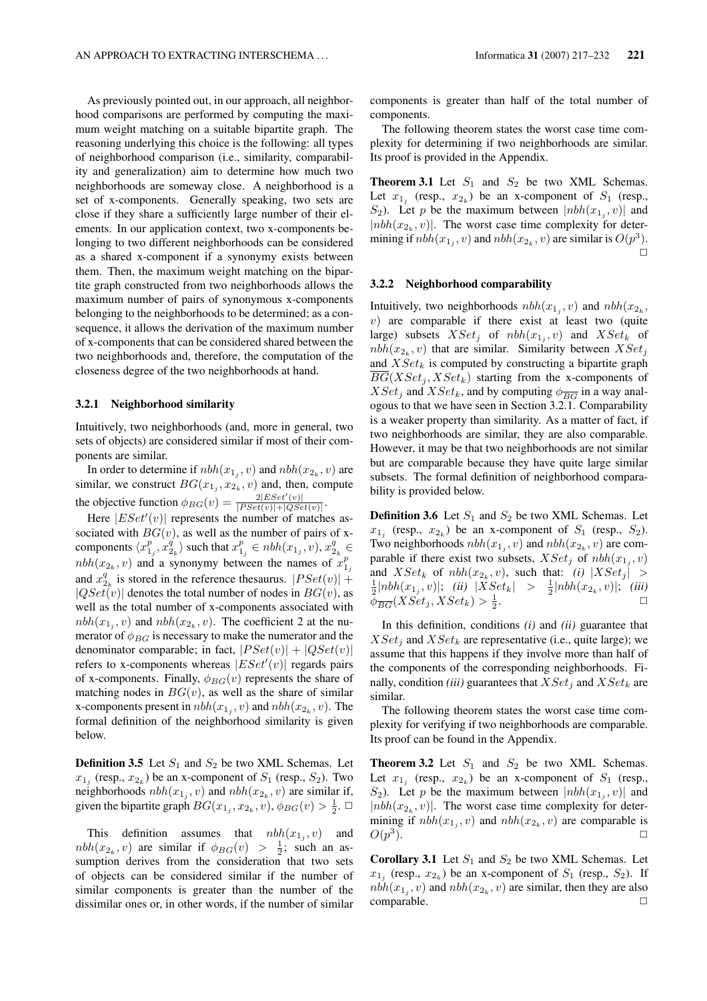As previously pointed out, in our approach, all neighborhood comparisons are performed by computing the maximum weight matching on a suitable bipartite graph. The reasoning underlying this choice is the following: all types of neighborhood comparison (i.e., similarity, comparability and generalization) aim to determine how much two neighborhoods are someway close. A neighborhood is a set of x-components. Generally speaking, two sets are close if they share a sufficiently large number of their elements. In our application context, two x-components belonging to two different neighborhoods can be considered as a shared x-component if a synonymy exists between them. Then, the maximum weight matching on the bipartite graph constructed from two neighborhoods allows the maximum number of pairs of synonymous x-components belonging to the neighborhoods to be determined; as a consequence, it allows the derivation of the maximum number of x-components that can be considered shared between the two neighborhoods and, therefore, the computation of the closeness degree of the two neighborhoods at hand.

#### 3.2.1 Neighborhood similarity

Intuitively, two neighborhoods (and, more in general, two sets of objects) are considered similar if most of their components are similar.

In order to determine if  $nbh(x_{1j}, v)$  and  $nbh(x_{2k}, v)$  are similar, we construct  $BG(x_{1_j}, x_{2_k}, v)$  and, then, compute the objective function  $\phi_{BG}(v) = \frac{2|ESet'(v)|}{|PSet(v)|+|OSet(v)|}$  $\frac{2|ESet(v)|}{|PSet(v)|+|QSet(v)|}.$ 

Here  $|ESet'(v)|$  represents the number of matches associated with  $BG(v)$ , as well as the number of pairs of xcomponents  $\langle x_{1_j}^p, x_{2_k}^q \rangle$  such that  $x_{1_j}^p \in nbh(x_{1_j}, v), x_{2_k}^q \in$  $nbh(x_{2_k}, v)$  and a synonymy between the names of  $x_{1_k}^p$ and  $x_{2_k}^q$  is stored in the reference thesaurus.  $|PSet(v)| +$  $|QSet(v)|$  denotes the total number of nodes in  $BG(v)$ , as well as the total number of x-components associated with  $nbh(x_{1_i}, v)$  and  $nbh(x_{2_k}, v)$ . The coefficient 2 at the numerator of  $\phi_{BG}$  is necessary to make the numerator and the denominator comparable; in fact,  $|PSet(v)| + |QSet(v)|$ refers to x-components whereas  $|ESet'(v)|$  regards pairs of x-components. Finally,  $\phi_{BG}(v)$  represents the share of matching nodes in  $BG(v)$ , as well as the share of similar x-components present in  $nbh(x_{1j}, v)$  and  $nbh(x_{2k}, v)$ . The formal definition of the neighborhood similarity is given below.

**Definition 3.5** Let  $S_1$  and  $S_2$  be two XML Schemas. Let  $x_{1j}$  (resp.,  $x_{2k}$ ) be an x-component of  $S_1$  (resp.,  $S_2$ ). Two neighborhoods  $nbh(x_{1j}, v)$  and  $nbh(x_{2k}, v)$  are similar if, given the bipartite graph  $BG(x_{1_j}, x_{2_k}, v), \phi_{BG}(v) > \frac{1}{2}$ .  $\Box$ 

This definition assumes that  $nbh(x_{1j}, v)$  and  $nbh(x_{2_k}, v)$  are similar if  $\phi_{BG}(v) > \frac{1}{2}$ ; such an assumption derives from the consideration that two sets of objects can be considered similar if the number of similar components is greater than the number of the dissimilar ones or, in other words, if the number of similar components is greater than half of the total number of components.

The following theorem states the worst case time complexity for determining if two neighborhoods are similar. Its proof is provided in the Appendix.

**Theorem 3.1** Let  $S_1$  and  $S_2$  be two XML Schemas. Let  $x_{1j}$  (resp.,  $x_{2k}$ ) be an x-component of  $S_1$  (resp.,  $S_2$ ). Let p be the maximum between  $|nbh(x_{1j}, v)|$  and  $|n b h(x_{2k}, v)|$ . The worst case time complexity for determining if  $nbh(x_{1j}, v)$  and  $nbh(x_{2k}, v)$  are similar is  $O(p^3)$ .  $\Box$ 

#### 3.2.2 Neighborhood comparability

Intuitively, two neighborhoods  $nbh(x_{1j}, v)$  and  $nbh(x_{2k}, v)$  $v$ ) are comparable if there exist at least two (quite large) subsets  $XSet_j$  of  $nbh(x_{1_j}, v)$  and  $XSet_k$  of  $nbh(x_{2_k}, v)$  that are similar. Similarity between  $XSet_j$ and  $XSet_k$  is computed by constructing a bipartite graph  $BG(XSet_i, XSet_k)$  starting from the x-components of  $XSet_j$  and  $XSet_k$ , and by computing  $\phi_{\overline{BG}}$  in a way analogous to that we have seen in Section 3.2.1. Comparability is a weaker property than similarity. As a matter of fact, if two neighborhoods are similar, they are also comparable. However, it may be that two neighborhoods are not similar but are comparable because they have quite large similar subsets. The formal definition of neighborhood comparability is provided below.

**Definition 3.6** Let  $S_1$  and  $S_2$  be two XML Schemas. Let  $x_{1j}$  (resp.,  $x_{2k}$ ) be an x-component of  $S_1$  (resp.,  $S_2$ ). Two neighborhoods  $nbh(x_{1_j}, v)$  and  $nbh(x_{2_k}, v)$  are comparable if there exist two subsets,  $XSet_j$  of  $nbh(x_{1j}, v)$ and  $XSet_k$  of  $nbh(x_{2_k}, v)$ , such that: *(i)*  $|XSet_j|$  >  $\frac{1}{2}|nbh(x_{1_j}, v)|;$  *(ii)*  $|XSet_k| > \frac{1}{2}|nbh(x_{2_k}, v)|;$  *(iii)*  $\bar{\phi}_{\overline{BG}}(XSet_j,XSet_k) > \frac{1}{2}$ .  $\Box$ 

In this definition, conditions *(i)* and *(ii)* guarantee that  $XSet_i$  and  $XSet_k$  are representative (i.e., quite large); we assume that this happens if they involve more than half of the components of the corresponding neighborhoods. Finally, condition *(iii)* guarantees that  $XSet_i$  and  $XSet_k$  are similar.

The following theorem states the worst case time complexity for verifying if two neighborhoods are comparable. Its proof can be found in the Appendix.

**Theorem 3.2** Let  $S_1$  and  $S_2$  be two XML Schemas. Let  $x_{1j}$  (resp.,  $x_{2k}$ ) be an x-component of  $S_1$  (resp.,  $S_2$ ). Let p be the maximum between  $|nbh(x_{1j}, v)|$  and  $|n b h(x_{2k}, v)|$ . The worst case time complexity for determining if  $nbh(x_{1j}, v)$  and  $nbh(x_{2k}, v)$  are comparable is  $O(p^3)$ ).  $\qquad \qquad \Box$ 

**Corollary 3.1** Let  $S_1$  and  $S_2$  be two XML Schemas. Let  $x_{1j}$  (resp.,  $x_{2k}$ ) be an x-component of  $S_1$  (resp.,  $S_2$ ). If  $nbh(x_{1j}, v)$  and  $nbh(x_{2k}, v)$  are similar, then they are also comparable.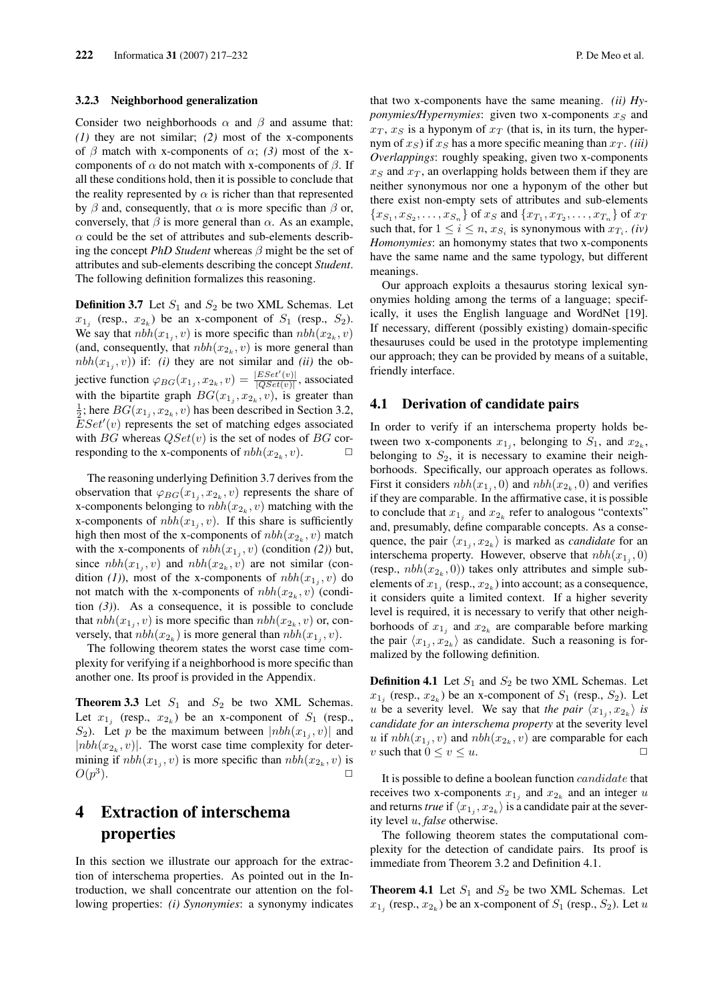#### 3.2.3 Neighborhood generalization

Consider two neighborhoods  $\alpha$  and  $\beta$  and assume that: *(1)* they are not similar; *(2)* most of the x-components of  $\beta$  match with x-components of  $\alpha$ ; (3) most of the xcomponents of  $\alpha$  do not match with x-components of  $\beta$ . If all these conditions hold, then it is possible to conclude that the reality represented by  $\alpha$  is richer than that represented by  $\beta$  and, consequently, that  $\alpha$  is more specific than  $\beta$  or, conversely, that  $\beta$  is more general than  $\alpha$ . As an example,  $\alpha$  could be the set of attributes and sub-elements describing the concept *PhD Student* whereas β might be the set of attributes and sub-elements describing the concept *Student*. The following definition formalizes this reasoning.

**Definition 3.7** Let  $S_1$  and  $S_2$  be two XML Schemas. Let  $x_{1j}$  (resp.,  $x_{2k}$ ) be an x-component of  $S_1$  (resp.,  $S_2$ ). We say that  $nbh(x_{1j}, v)$  is more specific than  $nbh(x_{2k}, v)$ (and, consequently, that  $nbh(x_{2_k}, v)$  is more general than  $nbh(x_{1j}, v))$  if: *(i)* they are not similar and *(ii)* the objective function  $\varphi_{BG}(x_{1j}, x_{2k}, v) = \frac{|ESet'(v)|}{|OSet(v)|}$  $\frac{|ESet(v)|}{|QSet(v)|}$ , associated with the bipartite graph  $BG(x_{1_j}, x_{2_k}, v)$ , is greater than  $\frac{1}{2}$ ; here  $BG(x_{1_j}, x_{2_k}, v)$  has been described in Section 3.2,  $\overline{E}Set'(v)$  represents the set of matching edges associated with BG whereas  $QSet(v)$  is the set of nodes of BG corresponding to the x-components of  $nbh(x_{2_k}, v)$ .  $\Box$ 

The reasoning underlying Definition 3.7 derives from the observation that  $\varphi_{BG}(x_{1j}, x_{2k}, v)$  represents the share of x-components belonging to  $nbh(x_{2k}, v)$  matching with the x-components of  $nbh(x_{1j}, v)$ . If this share is sufficiently high then most of the x-components of  $nbh(x_{2k}, v)$  match with the x-components of  $nbh(x_{1j}, v)$  (condition (2)) but, since  $nbh(x_{1j}, v)$  and  $nbh(x_{2k}, v)$  are not similar (condition (1)), most of the x-components of  $nbh(x_{1_j}, v)$  do not match with the x-components of  $nbh(x_{2k}, v)$  (condition  $(3)$ ). As a consequence, it is possible to conclude that  $nbh(x_{1j}, v)$  is more specific than  $nbh(x_{2k}, v)$  or, conversely, that  $nbh(x_{2_k})$  is more general than  $nbh(x_{1_j}, v)$ .

The following theorem states the worst case time complexity for verifying if a neighborhood is more specific than another one. Its proof is provided in the Appendix.

**Theorem 3.3** Let  $S_1$  and  $S_2$  be two XML Schemas. Let  $x_{1j}$  (resp.,  $x_{2k}$ ) be an x-component of  $S_1$  (resp.,  $S_2$ ). Let p be the maximum between  $|nbh(x_{1j}, v)|$  and | $nbh(x_{2k}, v)$ |. The worst case time complexity for determining if  $nbh(x_{1j}, v)$  is more specific than  $nbh(x_{2k}, v)$  is  $O(p^3)$ ).  $\qquad \qquad \Box$ 

# 4 Extraction of interschema properties

In this section we illustrate our approach for the extraction of interschema properties. As pointed out in the Introduction, we shall concentrate our attention on the following properties: *(i) Synonymies*: a synonymy indicates that two x-components have the same meaning. *(ii) Hyponymies/Hypernymies*: given two x-components  $x_S$  and  $x_T$ ,  $x_S$  is a hyponym of  $x_T$  (that is, in its turn, the hypernym of  $x_S$ ) if  $x_S$  has a more specific meaning than  $x_T$ . *(iii) Overlappings*: roughly speaking, given two x-components  $x<sub>S</sub>$  and  $x<sub>T</sub>$ , an overlapping holds between them if they are neither synonymous nor one a hyponym of the other but there exist non-empty sets of attributes and sub-elements  ${x_{S_1}, x_{S_2}, \ldots, x_{S_n}}$  of  $x_S$  and  ${x_{T_1}, x_{T_2}, \ldots, x_{T_n}}$  of  $x_T$ such that, for  $1 \le i \le n$ ,  $x_{S_i}$  is synonymous with  $x_{T_i}$ . *(iv) Homonymies*: an homonymy states that two x-components have the same name and the same typology, but different meanings.

Our approach exploits a thesaurus storing lexical synonymies holding among the terms of a language; specifically, it uses the English language and WordNet [19]. If necessary, different (possibly existing) domain-specific thesauruses could be used in the prototype implementing our approach; they can be provided by means of a suitable, friendly interface.

### 4.1 Derivation of candidate pairs

In order to verify if an interschema property holds between two x-components  $x_{1j}$ , belonging to  $S_1$ , and  $x_{2k}$ , belonging to  $S_2$ , it is necessary to examine their neighborhoods. Specifically, our approach operates as follows. First it considers  $nbh(x_{1j}, 0)$  and  $nbh(x_{2k}, 0)$  and verifies if they are comparable. In the affirmative case, it is possible to conclude that  $x_{1j}$  and  $x_{2k}$  refer to analogous "contexts" and, presumably, define comparable concepts. As a consequence, the pair  $\langle x_{1_j}, x_{2_k} \rangle$  is marked as *candidate* for an interschema property. However, observe that  $nbh(x_{1j}, 0)$ (resp.,  $nbh(x_{2k}, 0)$ ) takes only attributes and simple subelements of  $x_{1j}$  (resp.,  $x_{2k}$ ) into account; as a consequence, it considers quite a limited context. If a higher severity level is required, it is necessary to verify that other neighborhoods of  $x_{1j}$  and  $x_{2k}$  are comparable before marking the pair  $\langle x_{1j}, x_{2k} \rangle$  as candidate. Such a reasoning is formalized by the following definition.

**Definition 4.1** Let  $S_1$  and  $S_2$  be two XML Schemas. Let  $x_{1j}$  (resp.,  $x_{2k}$ ) be an x-component of  $S_1$  (resp.,  $S_2$ ). Let *u* be a severity level. We say that *the pair*  $\langle x_{1_j}, x_{2_k} \rangle$  *is candidate for an interschema property* at the severity level u if  $nbh(x_{1j}, v)$  and  $nbh(x_{2k}, v)$  are comparable for each v such that  $0 \le v \le u$ .

It is possible to define a boolean function candidate that receives two x-components  $x_{1j}$  and  $x_{2k}$  and an integer u and returns *true* if  $\langle x_{1_j}, x_{2_k} \rangle$  is a candidate pair at the severity level u, *false* otherwise.

The following theorem states the computational complexity for the detection of candidate pairs. Its proof is immediate from Theorem 3.2 and Definition 4.1.

**Theorem 4.1** Let  $S_1$  and  $S_2$  be two XML Schemas. Let  $x_{1j}$  (resp.,  $x_{2k}$ ) be an x-component of  $S_1$  (resp.,  $S_2$ ). Let u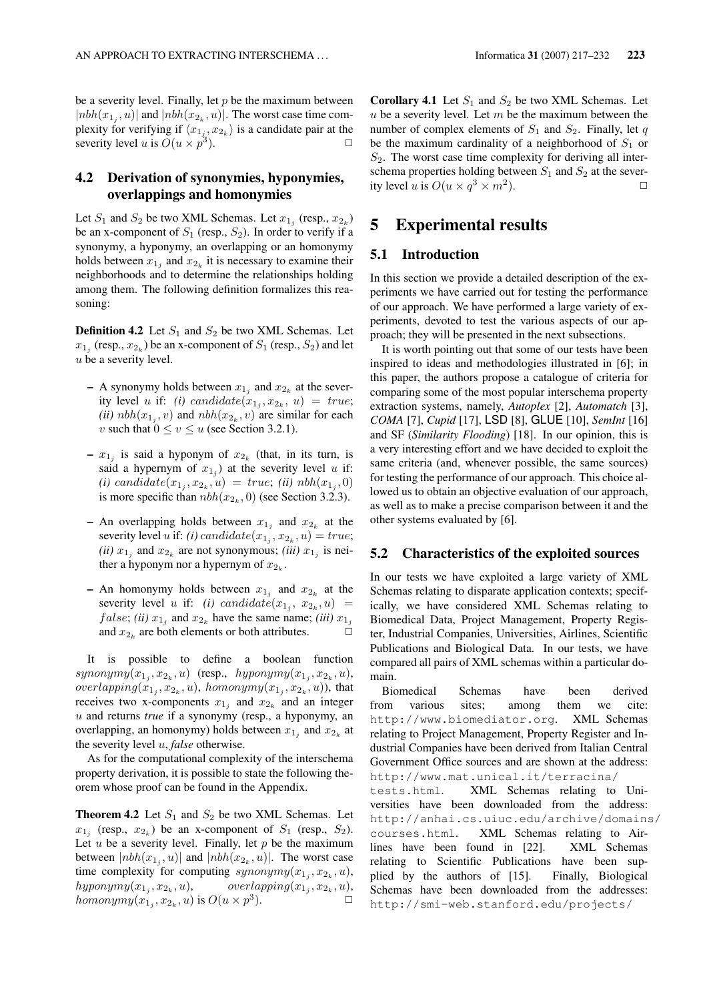be a severity level. Finally, let  $p$  be the maximum between  $|n b h(x_{1,i}, u)|$  and  $|n b h(x_{2k}, u)|$ . The worst case time complexity for verifying if  $\langle x_{1j}, x_{2k} \rangle$  is a candidate pair at the severity level u is  $O(u \times p^3)$ ).  $\Box$ 

## 4.2 Derivation of synonymies, hyponymies, overlappings and homonymies

Let  $S_1$  and  $S_2$  be two XML Schemas. Let  $x_{1j}$  (resp.,  $x_{2k}$ ) be an x-component of  $S_1$  (resp.,  $S_2$ ). In order to verify if a synonymy, a hyponymy, an overlapping or an homonymy holds between  $x_{1j}$  and  $x_{2k}$  it is necessary to examine their neighborhoods and to determine the relationships holding among them. The following definition formalizes this reasoning:

**Definition 4.2** Let  $S_1$  and  $S_2$  be two XML Schemas. Let  $x_{1j}$  (resp.,  $x_{2k}$ ) be an x-component of  $S_1$  (resp.,  $S_2$ ) and let  $u$  be a severity level.

- A synonymy holds between  $x_{1j}$  and  $x_{2k}$  at the severity level *u* if: *(i)* candidate $(x_{1_j}, x_{2_k}, u) = true;$ (*ii*)  $nbh(x_{1j}, v)$  and  $nbh(x_{2k}, v)$  are similar for each v such that  $0 \le v \le u$  (see Section 3.2.1).
- $x_{1j}$  is said a hyponym of  $x_{2k}$  (that, in its turn, is said a hypernym of  $x_{1j}$ ) at the severity level u if:  $(i)$  candidate $(x_{1_j}, x_{2_k}, u) = true$ ; *(ii)*  $nbh(x_{1_j}, 0)$ is more specific than  $nbh(x_{2_k}, 0)$  (see Section 3.2.3).
- An overlapping holds between  $x_{1j}$  and  $x_{2k}$  at the severity level *u* if: *(i)* candidate $(x_{1_j}, x_{2_k}, u) = true;$ (*ii*)  $x_{1j}$  and  $x_{2k}$  are not synonymous; (*iii*)  $x_{1j}$  is neither a hyponym nor a hypernym of  $x_{2_k}$ .
- An homonymy holds between  $x_{1j}$  and  $x_{2k}$  at the severity level *u* if: *(i)* candidate $(x_{1_j}, x_{2_k}, u)$  =  $false$ ; *(ii)*  $x_{1j}$  and  $x_{2k}$  have the same name; *(iii)*  $x_{1j}$ and  $x_{2_k}$  are both elements or both attributes.  $\Box$

It is possible to define a boolean function  $synonymy(x_{1_j}, x_{2_k}, u)$  (resp.,  $hyponymy(x_{1_j}, x_{2_k}, u)$ , *overlapping* $(x_{1_j}, x_{2_k}, u)$ , *homonymy* $(x_{1_j}, x_{2_k}, u)$ ), that receives two x-components  $x_{1j}$  and  $x_{2k}$  and an integer u and returns *true* if a synonymy (resp., a hyponymy, an overlapping, an homonymy) holds between  $x_{1j}$  and  $x_{2k}$  at the severity level u, *false* otherwise.

As for the computational complexity of the interschema property derivation, it is possible to state the following theorem whose proof can be found in the Appendix.

**Theorem 4.2** Let  $S_1$  and  $S_2$  be two XML Schemas. Let  $x_{1j}$  (resp.,  $x_{2k}$ ) be an x-component of  $S_1$  (resp.,  $S_2$ ). Let  $u$  be a severity level. Finally, let  $p$  be the maximum between  $|nbh(x_{1,i}, u)|$  and  $|nbh(x_{2k}, u)|$ . The worst case time complexity for computing  $synonymy(x_{1_j}, x_{2_k}, u)$ ,  $hyponymy(x_{1_j}, x_{2_k})$  $, u), \qquad \text{overlapping}(x_{1_j}, x_{2_k}, u),$ homonymy $(x_{1_j}, x_{2_k}, u)$  is  $O(u \times p^3)$ ).  $\qquad \qquad \Box$ 

**Corollary 4.1** Let  $S_1$  and  $S_2$  be two XML Schemas. Let  $u$  be a severity level. Let  $m$  be the maximum between the number of complex elements of  $S_1$  and  $S_2$ . Finally, let q be the maximum cardinality of a neighborhood of  $S_1$  or  $S<sub>2</sub>$ . The worst case time complexity for deriving all interschema properties holding between  $S_1$  and  $S_2$  at the severity level u is  $O(u \times q^3 \times m^2)$ ).  $\qquad \qquad \Box$ 

## 5 Experimental results

## 5.1 Introduction

In this section we provide a detailed description of the experiments we have carried out for testing the performance of our approach. We have performed a large variety of experiments, devoted to test the various aspects of our approach; they will be presented in the next subsections.

It is worth pointing out that some of our tests have been inspired to ideas and methodologies illustrated in [6]; in this paper, the authors propose a catalogue of criteria for comparing some of the most popular interschema property extraction systems, namely, *Autoplex* [2], *Automatch* [3], *COMA* [7], *Cupid* [17], LSD [8], GLUE [10], *SemInt* [16] and SF (*Similarity Flooding*) [18]. In our opinion, this is a very interesting effort and we have decided to exploit the same criteria (and, whenever possible, the same sources) for testing the performance of our approach. This choice allowed us to obtain an objective evaluation of our approach, as well as to make a precise comparison between it and the other systems evaluated by [6].

### 5.2 Characteristics of the exploited sources

In our tests we have exploited a large variety of XML Schemas relating to disparate application contexts; specifically, we have considered XML Schemas relating to Biomedical Data, Project Management, Property Register, Industrial Companies, Universities, Airlines, Scientific Publications and Biological Data. In our tests, we have compared all pairs of XML schemas within a particular domain.

Biomedical Schemas have been derived from various sites; among them we cite: http://www.biomediator.org. XML Schemas relating to Project Management, Property Register and Industrial Companies have been derived from Italian Central Government Office sources and are shown at the address: http://www.mat.unical.it/terracina/ tests.html. XML Schemas relating to Universities have been downloaded from the address: http://anhai.cs.uiuc.edu/archive/domains/ courses.html. XML Schemas relating to Airlines have been found in [22]. XML Schemas relating to Scientific Publications have been supplied by the authors of [15]. Finally, Biological Schemas have been downloaded from the addresses: http://smi-web.stanford.edu/projects/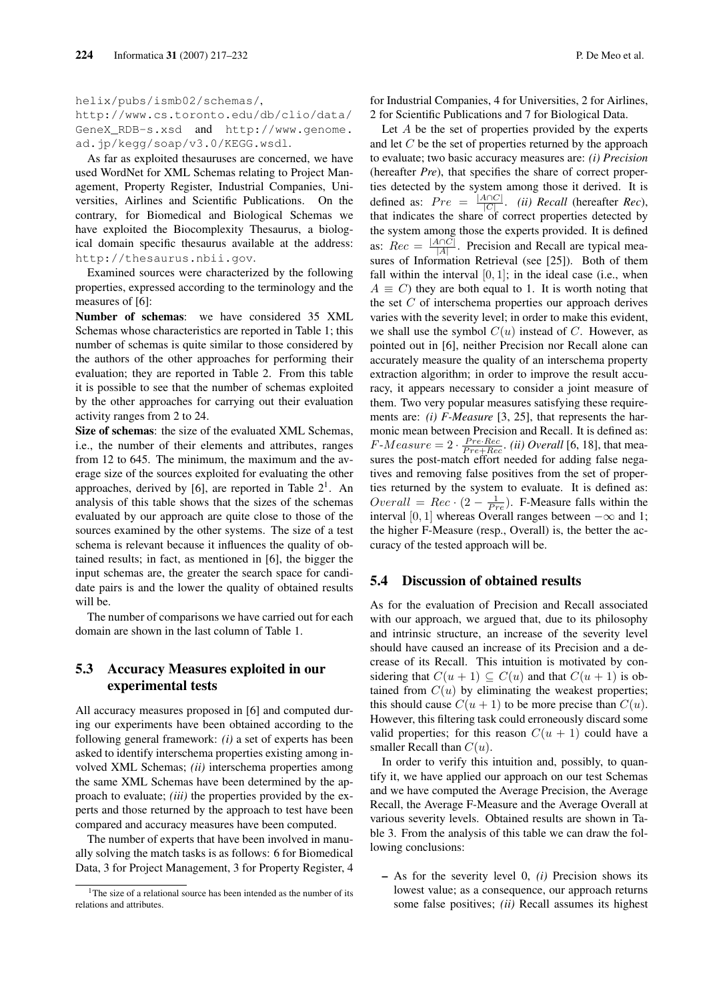http://www.cs.toronto.edu/db/clio/data/ GeneX\_RDB-s.xsd and http://www.genome. ad.jp/kegg/soap/v3.0/KEGG.wsdl.

As far as exploited thesauruses are concerned, we have used WordNet for XML Schemas relating to Project Management, Property Register, Industrial Companies, Universities, Airlines and Scientific Publications. On the contrary, for Biomedical and Biological Schemas we have exploited the Biocomplexity Thesaurus, a biological domain specific thesaurus available at the address: http://thesaurus.nbii.gov.

Examined sources were characterized by the following properties, expressed according to the terminology and the measures of [6]:

Number of schemas: we have considered 35 XML Schemas whose characteristics are reported in Table 1; this number of schemas is quite similar to those considered by the authors of the other approaches for performing their evaluation; they are reported in Table 2. From this table it is possible to see that the number of schemas exploited by the other approaches for carrying out their evaluation activity ranges from 2 to 24.

Size of schemas: the size of the evaluated XML Schemas, i.e., the number of their elements and attributes, ranges from 12 to 645. The minimum, the maximum and the average size of the sources exploited for evaluating the other approaches, derived by [6], are reported in Table  $2^1$ . An analysis of this table shows that the sizes of the schemas evaluated by our approach are quite close to those of the sources examined by the other systems. The size of a test schema is relevant because it influences the quality of obtained results; in fact, as mentioned in [6], the bigger the input schemas are, the greater the search space for candidate pairs is and the lower the quality of obtained results will be.

The number of comparisons we have carried out for each domain are shown in the last column of Table 1.

## 5.3 Accuracy Measures exploited in our experimental tests

All accuracy measures proposed in [6] and computed during our experiments have been obtained according to the following general framework: *(i)* a set of experts has been asked to identify interschema properties existing among involved XML Schemas; *(ii)* interschema properties among the same XML Schemas have been determined by the approach to evaluate; *(iii)* the properties provided by the experts and those returned by the approach to test have been compared and accuracy measures have been computed.

The number of experts that have been involved in manually solving the match tasks is as follows: 6 for Biomedical Data, 3 for Project Management, 3 for Property Register, 4 for Industrial Companies, 4 for Universities, 2 for Airlines, 2 for Scientific Publications and 7 for Biological Data.

Let A be the set of properties provided by the experts and let  $C$  be the set of properties returned by the approach to evaluate; two basic accuracy measures are: *(i) Precision* (hereafter *Pre*), that specifies the share of correct properties detected by the system among those it derived. It is defined as:  $Pre = \frac{|A \cap C|}{|C|}$  $\frac{\text{NIC}}{\text{C}}$ . *(ii) Recall (hereafter Rec)*, that indicates the share of correct properties detected by the system among those the experts provided. It is defined as:  $Rec = \frac{|A \cap C|}{|A|}$  $\frac{A[AC]}{|A|}$ . Precision and Recall are typical measures of Information Retrieval (see [25]). Both of them fall within the interval  $[0, 1]$ ; in the ideal case (i.e., when  $A \equiv C$ ) they are both equal to 1. It is worth noting that the set C of interschema properties our approach derives varies with the severity level; in order to make this evident, we shall use the symbol  $C(u)$  instead of C. However, as pointed out in [6], neither Precision nor Recall alone can accurately measure the quality of an interschema property extraction algorithm; in order to improve the result accuracy, it appears necessary to consider a joint measure of them. Two very popular measures satisfying these requirements are: *(i) F-Measure* [3, 25], that represents the harmonic mean between Precision and Recall. It is defined as:  $F-Measure = 2 \cdot \frac{Pre\cdot Rec}{Pre+Rec}$ . *(ii) Overall* [6, 18], that measures the post-match effort needed for adding false negatives and removing false positives from the set of properties returned by the system to evaluate. It is defined as:  $Overall = Rec \cdot (2 - \frac{1}{Pre})$ . F-Measure falls within the interval [0, 1] whereas Overall ranges between  $-\infty$  and 1; the higher F-Measure (resp., Overall) is, the better the accuracy of the tested approach will be.

## 5.4 Discussion of obtained results

As for the evaluation of Precision and Recall associated with our approach, we argued that, due to its philosophy and intrinsic structure, an increase of the severity level should have caused an increase of its Precision and a decrease of its Recall. This intuition is motivated by considering that  $C(u + 1) \subseteq C(u)$  and that  $C(u + 1)$  is obtained from  $C(u)$  by eliminating the weakest properties; this should cause  $C(u + 1)$  to be more precise than  $C(u)$ . However, this filtering task could erroneously discard some valid properties; for this reason  $C(u + 1)$  could have a smaller Recall than  $C(u)$ .

In order to verify this intuition and, possibly, to quantify it, we have applied our approach on our test Schemas and we have computed the Average Precision, the Average Recall, the Average F-Measure and the Average Overall at various severity levels. Obtained results are shown in Table 3. From the analysis of this table we can draw the following conclusions:

– As for the severity level 0, *(i)* Precision shows its lowest value; as a consequence, our approach returns some false positives; *(ii)* Recall assumes its highest

 $1$ <sup>1</sup>The size of a relational source has been intended as the number of its relations and attributes.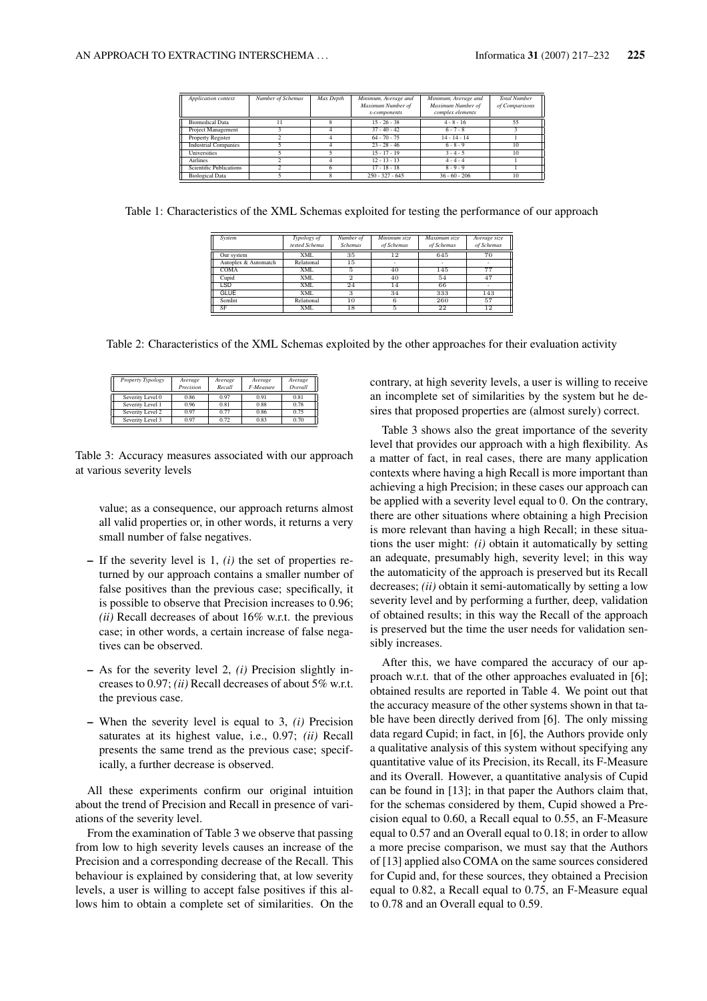| <b>Application</b> context     | Number of Schemas | Max Depth | Minimum, Average and<br>Maximum Number of<br>x-components | Minimum, Average and<br>Maximum Number of<br>complex elements | <b>Total Number</b><br>of Comparisons |
|--------------------------------|-------------------|-----------|-----------------------------------------------------------|---------------------------------------------------------------|---------------------------------------|
| <b>Biomedical Data</b>         |                   |           | $15 - 26 - 38$                                            | $4 - 8 - 16$                                                  | 55                                    |
| Project Management             |                   |           | $37 - 40 - 42$                                            | $6 - 7 - 8$                                                   |                                       |
| Property Register              |                   |           | $64 - 70 - 75$                                            | $14 - 14 - 14$                                                |                                       |
| <b>Industrial Companies</b>    |                   |           | $23 - 28 - 46$                                            | $6 - 8 - 9$                                                   | 10                                    |
| Universities                   |                   |           | $15 - 17 - 19$                                            | $3 - 4 - 5$                                                   | 10                                    |
| <b>Airlines</b>                |                   |           | $12 - 13 - 13$                                            | $4 - 4 - 4$                                                   |                                       |
| <b>Scientific Publications</b> |                   |           | $17 - 18 - 18$                                            | $8 - 9 - 9$                                                   |                                       |
| <b>Biological Data</b>         |                   |           | $250 - 327 - 645$                                         | $36 - 60 - 206$                                               | 10                                    |

Table 1: Characteristics of the XML Schemas exploited for testing the performance of our approach

| System               | Typology of   | Number of      | Minimum size | Maximum size | Average size |
|----------------------|---------------|----------------|--------------|--------------|--------------|
|                      | tested Schema | <b>Schemas</b> | of Schemas   | of Schemas   | of Schemas   |
| Our system           | <b>XML</b>    | 35             | $12 \,$      | 645          | 70           |
| Autoplex & Automatch | Relational    | 15             |              |              |              |
| <b>COMA</b>          | <b>XML</b>    | 5              | 40           | 145          | 77           |
| Cupid                | <b>XML</b>    | 2              | 40           | 54           | 47           |
| <b>LSD</b>           | <b>XML</b>    | 24             | 14           | 66           |              |
| <b>GLUE</b>          | <b>XML</b>    | з              | 34           | 333          | 143          |
| SemInt               | Relational    | 10             | 6            | 260          | 57           |
| SF                   | <b>XML</b>    | 18             | 5            | 22           | 12           |

Table 2: Characteristics of the XML Schemas exploited by the other approaches for their evaluation activity

| <b>Property Typology</b> | Average<br>Precision | Average<br>Recall | Average<br>F-Measure | Average<br>Overall |
|--------------------------|----------------------|-------------------|----------------------|--------------------|
| Severity Level 0         | 0.86                 | 0.97              | 0.91                 | 0.81               |
| Severity Level 1         | 0.96                 | 0.81              | 0.88                 | 0.78               |
| Severity Level 2         | 0.97                 | 0.77              | 0.86                 | 0.75               |
| Severity Level 3         | 0.97                 | 0.72              | 0.83                 | 0.70               |

Table 3: Accuracy measures associated with our approach at various severity levels

value; as a consequence, our approach returns almost all valid properties or, in other words, it returns a very small number of false negatives.

- If the severity level is 1, *(i)* the set of properties returned by our approach contains a smaller number of false positives than the previous case; specifically, it is possible to observe that Precision increases to 0.96; *(ii)* Recall decreases of about 16% w.r.t. the previous case; in other words, a certain increase of false negatives can be observed.
- As for the severity level 2, *(i)* Precision slightly increases to 0.97; *(ii)* Recall decreases of about 5% w.r.t. the previous case.
- When the severity level is equal to 3, *(i)* Precision saturates at its highest value, i.e., 0.97; *(ii)* Recall presents the same trend as the previous case; specifically, a further decrease is observed.

All these experiments confirm our original intuition about the trend of Precision and Recall in presence of variations of the severity level.

From the examination of Table 3 we observe that passing from low to high severity levels causes an increase of the Precision and a corresponding decrease of the Recall. This behaviour is explained by considering that, at low severity levels, a user is willing to accept false positives if this allows him to obtain a complete set of similarities. On the

contrary, at high severity levels, a user is willing to receive an incomplete set of similarities by the system but he desires that proposed properties are (almost surely) correct.

Table 3 shows also the great importance of the severity level that provides our approach with a high flexibility. As a matter of fact, in real cases, there are many application contexts where having a high Recall is more important than achieving a high Precision; in these cases our approach can be applied with a severity level equal to 0. On the contrary, there are other situations where obtaining a high Precision is more relevant than having a high Recall; in these situations the user might: *(i)* obtain it automatically by setting an adequate, presumably high, severity level; in this way the automaticity of the approach is preserved but its Recall decreases; *(ii)* obtain it semi-automatically by setting a low severity level and by performing a further, deep, validation of obtained results; in this way the Recall of the approach is preserved but the time the user needs for validation sensibly increases.

After this, we have compared the accuracy of our approach w.r.t. that of the other approaches evaluated in [6]; obtained results are reported in Table 4. We point out that the accuracy measure of the other systems shown in that table have been directly derived from [6]. The only missing data regard Cupid; in fact, in [6], the Authors provide only a qualitative analysis of this system without specifying any quantitative value of its Precision, its Recall, its F-Measure and its Overall. However, a quantitative analysis of Cupid can be found in [13]; in that paper the Authors claim that, for the schemas considered by them, Cupid showed a Precision equal to 0.60, a Recall equal to 0.55, an F-Measure equal to 0.57 and an Overall equal to 0.18; in order to allow a more precise comparison, we must say that the Authors of [13] applied also COMA on the same sources considered for Cupid and, for these sources, they obtained a Precision equal to 0.82, a Recall equal to 0.75, an F-Measure equal to 0.78 and an Overall equal to 0.59.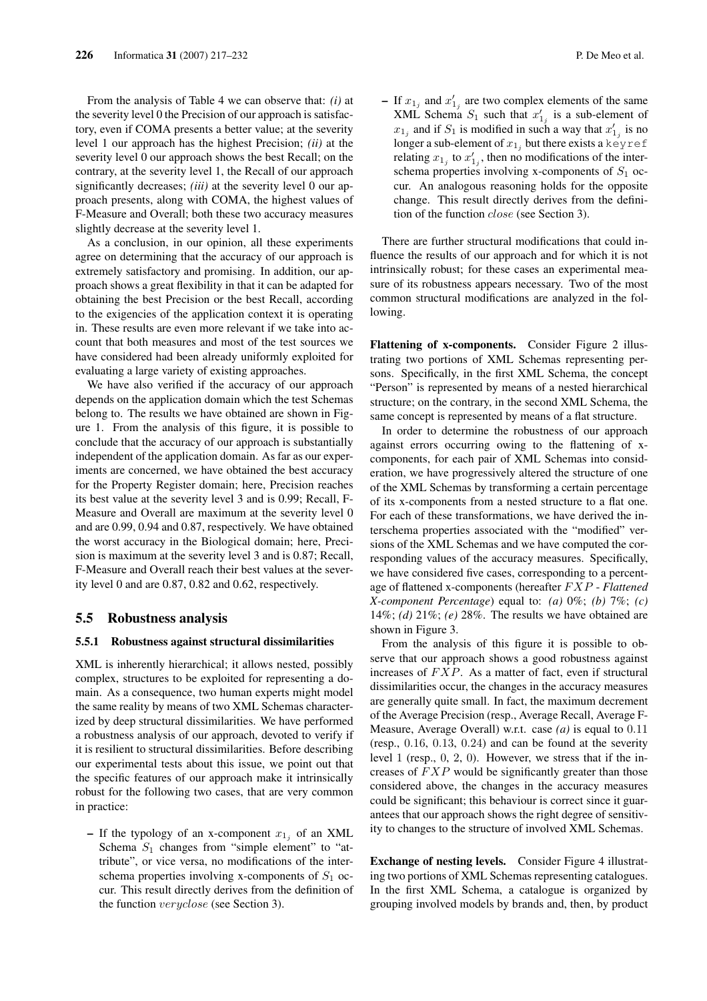From the analysis of Table 4 we can observe that: *(i)* at the severity level 0 the Precision of our approach is satisfactory, even if COMA presents a better value; at the severity level 1 our approach has the highest Precision; *(ii)* at the severity level 0 our approach shows the best Recall; on the contrary, at the severity level 1, the Recall of our approach significantly decreases; *(iii)* at the severity level 0 our approach presents, along with COMA, the highest values of F-Measure and Overall; both these two accuracy measures slightly decrease at the severity level 1.

As a conclusion, in our opinion, all these experiments agree on determining that the accuracy of our approach is extremely satisfactory and promising. In addition, our approach shows a great flexibility in that it can be adapted for obtaining the best Precision or the best Recall, according to the exigencies of the application context it is operating in. These results are even more relevant if we take into account that both measures and most of the test sources we have considered had been already uniformly exploited for evaluating a large variety of existing approaches.

We have also verified if the accuracy of our approach depends on the application domain which the test Schemas belong to. The results we have obtained are shown in Figure 1. From the analysis of this figure, it is possible to conclude that the accuracy of our approach is substantially independent of the application domain. As far as our experiments are concerned, we have obtained the best accuracy for the Property Register domain; here, Precision reaches its best value at the severity level 3 and is 0.99; Recall, F-Measure and Overall are maximum at the severity level 0 and are 0.99, 0.94 and 0.87, respectively. We have obtained the worst accuracy in the Biological domain; here, Precision is maximum at the severity level 3 and is 0.87; Recall, F-Measure and Overall reach their best values at the severity level 0 and are 0.87, 0.82 and 0.62, respectively.

#### 5.5 Robustness analysis

#### 5.5.1 Robustness against structural dissimilarities

XML is inherently hierarchical; it allows nested, possibly complex, structures to be exploited for representing a domain. As a consequence, two human experts might model the same reality by means of two XML Schemas characterized by deep structural dissimilarities. We have performed a robustness analysis of our approach, devoted to verify if it is resilient to structural dissimilarities. Before describing our experimental tests about this issue, we point out that the specific features of our approach make it intrinsically robust for the following two cases, that are very common in practice:

- If the typology of an x-component  $x_{1j}$  of an XML Schema  $S_1$  changes from "simple element" to "attribute", or vice versa, no modifications of the interschema properties involving x-components of  $S_1$  occur. This result directly derives from the definition of the function veryclose (see Section 3).

- If  $x_{1j}$  and  $x'_{1j}$  are two complex elements of the same XML Schema  $S_1$  such that  $x'_{1j}$  is a sub-element of  $x_{1j}$  and if  $S_1$  is modified in such a way that  $x'_{1j}$  is no longer a sub-element of  $x_{1j}$  but there exists a keyref relating  $x_{1j}$  to  $x'_{1j}$ , then no modifications of the interschema properties involving x-components of  $S_1$  occur. An analogous reasoning holds for the opposite change. This result directly derives from the definition of the function close (see Section 3).

There are further structural modifications that could influence the results of our approach and for which it is not intrinsically robust; for these cases an experimental measure of its robustness appears necessary. Two of the most common structural modifications are analyzed in the following.

Flattening of x-components. Consider Figure 2 illustrating two portions of XML Schemas representing persons. Specifically, in the first XML Schema, the concept "Person" is represented by means of a nested hierarchical structure; on the contrary, in the second XML Schema, the same concept is represented by means of a flat structure.

In order to determine the robustness of our approach against errors occurring owing to the flattening of xcomponents, for each pair of XML Schemas into consideration, we have progressively altered the structure of one of the XML Schemas by transforming a certain percentage of its x-components from a nested structure to a flat one. For each of these transformations, we have derived the interschema properties associated with the "modified" versions of the XML Schemas and we have computed the corresponding values of the accuracy measures. Specifically, we have considered five cases, corresponding to a percentage of flattened x-components (hereafter F XP - *Flattened X-component Percentage*) equal to: *(a)* 0%; *(b)* 7%; *(c)* 14%; *(d)* 21%; *(e)* 28%. The results we have obtained are shown in Figure 3.

From the analysis of this figure it is possible to observe that our approach shows a good robustness against increases of  $FXP$ . As a matter of fact, even if structural dissimilarities occur, the changes in the accuracy measures are generally quite small. In fact, the maximum decrement of the Average Precision (resp., Average Recall, Average F-Measure, Average Overall) w.r.t. case *(a)* is equal to 0.11 (resp., 0.16, 0.13, 0.24) and can be found at the severity level 1 (resp., 0, 2, 0). However, we stress that if the increases of  $FXP$  would be significantly greater than those considered above, the changes in the accuracy measures could be significant; this behaviour is correct since it guarantees that our approach shows the right degree of sensitivity to changes to the structure of involved XML Schemas.

Exchange of nesting levels. Consider Figure 4 illustrating two portions of XML Schemas representing catalogues. In the first XML Schema, a catalogue is organized by grouping involved models by brands and, then, by product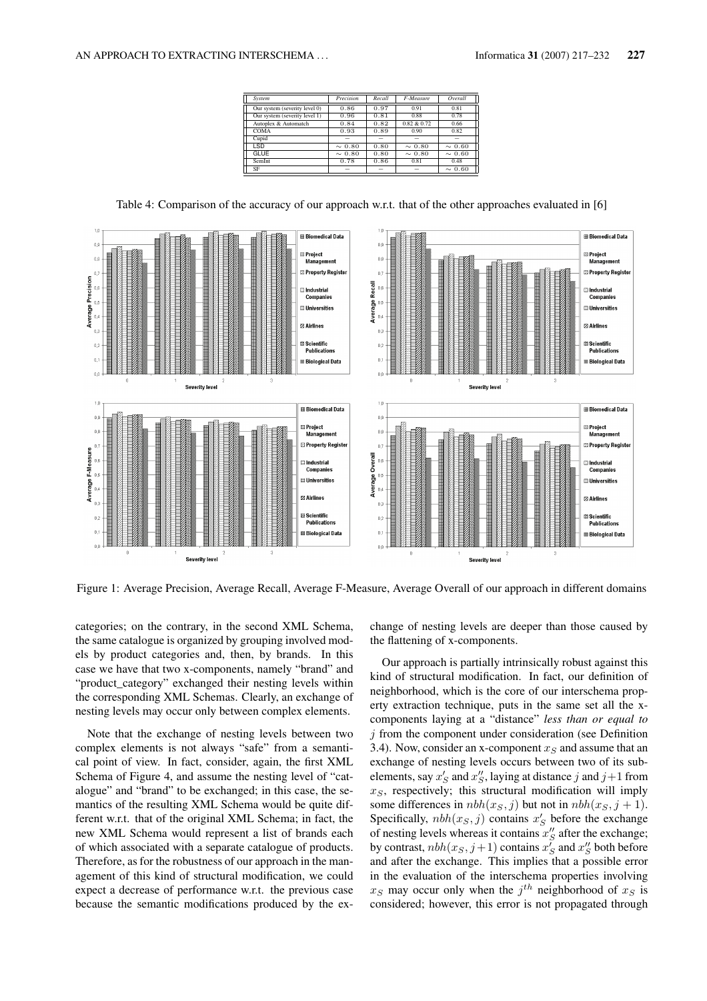| System                        | Precision   | Recall | F-Measure   | Overall     |
|-------------------------------|-------------|--------|-------------|-------------|
| Our system (severity level 0) | 0.86        | 0.97   | 0.91        | 0.81        |
| Our system (severity level 1) | 0.96        | 0.81   | 0.88        | 0.78        |
| Autoplex & Automatch          | 0.84        | 0.82   | 0.82 & 0.72 | 0.66        |
| COMA                          | 0.93        | 0.89   | 0.90        | 0.82        |
| Cupid                         |             | -      | -           | -           |
| <b>LSD</b>                    | $\sim 0.80$ | 0.80   | $\sim 0.80$ | $\sim 0.60$ |
| <b>GLUE</b>                   | $\sim 0.80$ | 0.80   | $\sim 0.80$ | $\sim 0.60$ |
| SemInt                        | 0.78        | 0.86   | 0.81        | 0.48        |
| SF                            |             | -      |             | $\sim 0.60$ |

**E Biomedical Data El Biomedical Data**  $\overline{0}$  $\overline{0}$ Project Project  $\mathbf{0}$ Mananement Management **2** Property Register **22 Property Regist**  $\overline{0}$ ි Industrial  $\overline{a}$ ា<br>Industrial Companies Compani å **Universities** ⊟ Universities **Z Airline Z Airlines**  $\mathbb{O},$ .<br>Ientific ntific  $\overline{0}$  $\mathbf{0}$ Publicati Public  $\mathbf{0},$ **Biological Data Biological Data Severity leve** Severity level  $\overline{1}$  $\overline{10}$ **El Biomedical Data El Biomedical Data**  $\overline{0}$  $_{\rm 0,9}$ **Project Project**  $\overline{0}$ Management Management **Z** Property Registe  $\overline{a}$ **Z** Property Regi F-Measur **a**<br>Industria **a**<br>Industrial ⊟ Universitie: ្តិ ⊟ Universities Average **Z Airlines Z** Airlines  $\overline{0}$ ៈ<br>និង Scientific **23 Scientific**  $\mathbf{r}$ Publications **Publicat**  $\mathbf{0}$ **Biological Data**  $\overline{\mathbf{0}}$ ■ Biological Data **Severity level Severify level** 

Table 4: Comparison of the accuracy of our approach w.r.t. that of the other approaches evaluated in [6]

Figure 1: Average Precision, Average Recall, Average F-Measure, Average Overall of our approach in different domains

categories; on the contrary, in the second XML Schema, the same catalogue is organized by grouping involved models by product categories and, then, by brands. In this case we have that two x-components, namely "brand" and "product\_category" exchanged their nesting levels within the corresponding XML Schemas. Clearly, an exchange of nesting levels may occur only between complex elements.

Note that the exchange of nesting levels between two complex elements is not always "safe" from a semantical point of view. In fact, consider, again, the first XML Schema of Figure 4, and assume the nesting level of "catalogue" and "brand" to be exchanged; in this case, the semantics of the resulting XML Schema would be quite different w.r.t. that of the original XML Schema; in fact, the new XML Schema would represent a list of brands each of which associated with a separate catalogue of products. Therefore, as for the robustness of our approach in the management of this kind of structural modification, we could expect a decrease of performance w.r.t. the previous case because the semantic modifications produced by the exchange of nesting levels are deeper than those caused by the flattening of x-components.

Our approach is partially intrinsically robust against this kind of structural modification. In fact, our definition of neighborhood, which is the core of our interschema property extraction technique, puts in the same set all the xcomponents laying at a "distance" *less than or equal to*  $j$  from the component under consideration (see Definition 3.4). Now, consider an x-component  $x<sub>S</sub>$  and assume that an exchange of nesting levels occurs between two of its subelements, say  $x_S'$  and  $x_S''$ , laying at distance j and  $j+1$  from  $x<sub>S</sub>$ , respectively; this structural modification will imply some differences in  $nbh(x_S, j)$  but not in  $nbh(x_S, j + 1)$ . Specifically,  $nbh(x_S, j)$  contains  $x'_S$  before the exchange of nesting levels whereas it contains  $x_S$  after the exchange; by contrast,  $nbh(x_S, j+1)$  contains  $x_S'$  and  $x_S''$  both before and after the exchange. This implies that a possible error in the evaluation of the interschema properties involving  $x_S$  may occur only when the  $j^{th}$  neighborhood of  $x_S$  is considered; however, this error is not propagated through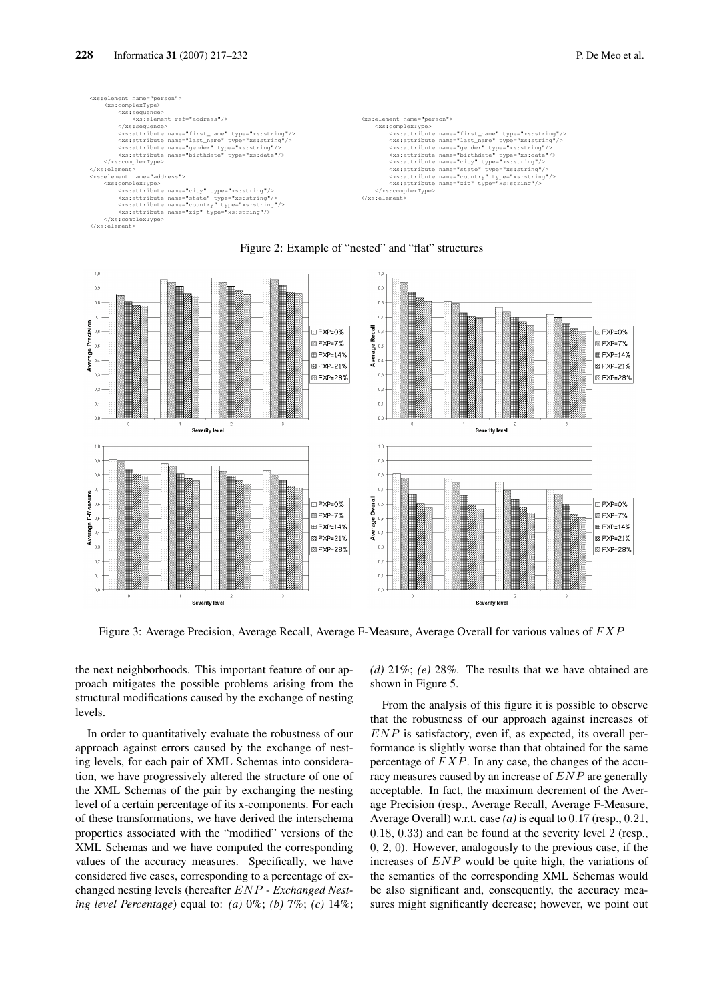



#### Figure 2: Example of "nested" and "flat" structures

Figure 3: Average Precision, Average Recall, Average F-Measure, Average Overall for various values of  $FXP$ 

the next neighborhoods. This important feature of our approach mitigates the possible problems arising from the structural modifications caused by the exchange of nesting levels.

In order to quantitatively evaluate the robustness of our approach against errors caused by the exchange of nesting levels, for each pair of XML Schemas into consideration, we have progressively altered the structure of one of the XML Schemas of the pair by exchanging the nesting level of a certain percentage of its x-components. For each of these transformations, we have derived the interschema properties associated with the "modified" versions of the XML Schemas and we have computed the corresponding values of the accuracy measures. Specifically, we have considered five cases, corresponding to a percentage of exchanged nesting levels (hereafter ENP - *Exchanged Nesting level Percentage*) equal to: *(a)* 0%; *(b)* 7%; *(c)* 14%;

*(d)* 21%; *(e)* 28%. The results that we have obtained are shown in Figure 5.

From the analysis of this figure it is possible to observe that the robustness of our approach against increases of  $END$  is satisfactory, even if, as expected, its overall performance is slightly worse than that obtained for the same percentage of  $FXP$ . In any case, the changes of the accuracy measures caused by an increase of ENP are generally acceptable. In fact, the maximum decrement of the Average Precision (resp., Average Recall, Average F-Measure, Average Overall) w.r.t. case *(a)* is equal to 0.17 (resp., 0.21, 0.18, 0.33) and can be found at the severity level 2 (resp., 0, 2, 0). However, analogously to the previous case, if the increases of ENP would be quite high, the variations of the semantics of the corresponding XML Schemas would be also significant and, consequently, the accuracy measures might significantly decrease; however, we point out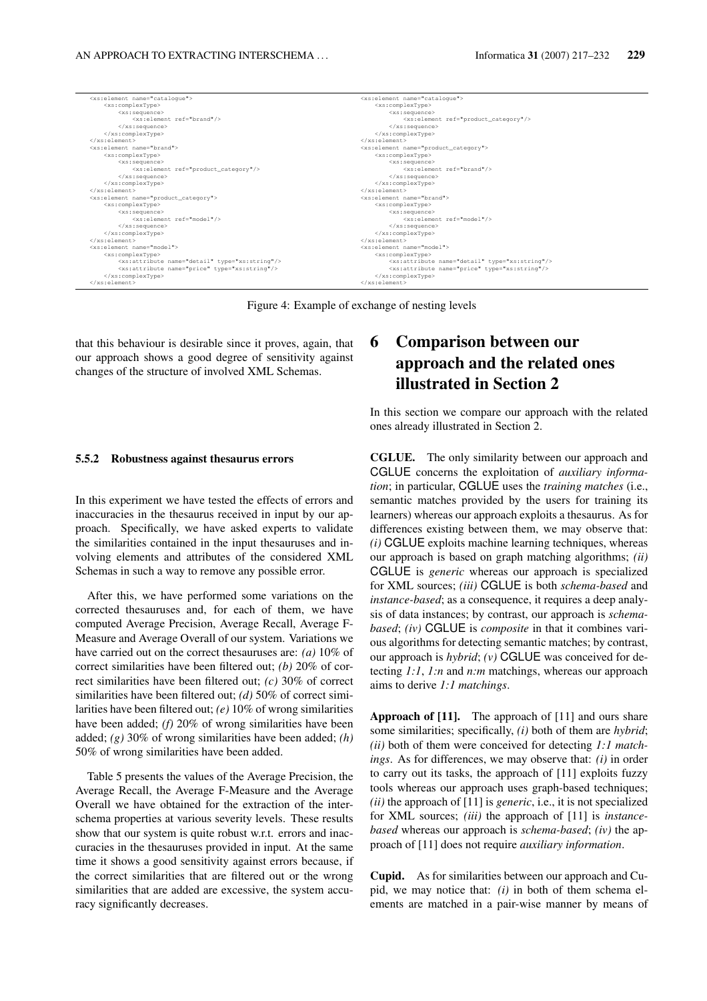| <xs:element name="cataloque"></xs:element>                   | <xs:element name="catalogue"></xs:element>                   |
|--------------------------------------------------------------|--------------------------------------------------------------|
| <xs:complextype></xs:complextype>                            | <xs:complextype></xs:complextype>                            |
| <xs:sequence></xs:sequence>                                  | <xs:sequence></xs:sequence>                                  |
| $<xs:$ element ref="brand"/>                                 | <xs:element ref="product category"></xs:element>             |
|                                                              | $\langle$ /xs:sequence>                                      |
|                                                              |                                                              |
| $\langle x s : \text{element} \rangle$                       | $\langle$ /xs:element>                                       |
| <xs:element_name="brand"></xs:element_name="brand">          | <xs:element name="product category"></xs:element>            |
| <xs:complextype></xs:complextype>                            | <xs:complextype></xs:complextype>                            |
| <xs:sequence></xs:sequence>                                  | <xs:sequence></xs:sequence>                                  |
| <xs:element ref="product category"></xs:element>             | <xs:element ref="brand"></xs:element>                        |
|                                                              | $\langle$ /xs:sequence>                                      |
|                                                              |                                                              |
| $\langle x s : \text{element} \rangle$                       | $\langle$ /xs:element>                                       |
| <xs:element name="product_category"></xs:element>            | <xs:element_name="brand"></xs:element_name="brand">          |
| <xs:complextype></xs:complextype>                            | <xs:complextype></xs:complextype>                            |
| <xs:sequence></xs:sequence>                                  | <xs:sequence></xs:sequence>                                  |
| $<xs:$ element ref="model"/>                                 | <xs:element ref="model"></xs:element>                        |
| $\langle$ /xs:sequence>                                      | $\langle$ /xs:sequence>                                      |
|                                                              |                                                              |
| $\langle xs : \text{element} \rangle$                        | $\langle$ /xs:element>                                       |
| <xs:element name="model"></xs:element>                       | <xs:element name="model"></xs:element>                       |
| <xs:complextype></xs:complextype>                            | <xs:complextype></xs:complextype>                            |
| <xs:attribute name="detail" type="xs:string"></xs:attribute> | <xs:attribute name="detail" type="xs:string"></xs:attribute> |
| <xs:attribute name="price" type="xs:string"></xs:attribute>  | <xs:attribute name="price" type="xs:string"></xs:attribute>  |
|                                                              |                                                              |
| $\langle$ /xs:element>                                       | $\langle$ /xs:element>                                       |

Figure 4: Example of exchange of nesting levels

that this behaviour is desirable since it proves, again, that our approach shows a good degree of sensitivity against changes of the structure of involved XML Schemas.

#### 5.5.2 Robustness against thesaurus errors

In this experiment we have tested the effects of errors and inaccuracies in the thesaurus received in input by our approach. Specifically, we have asked experts to validate the similarities contained in the input thesauruses and involving elements and attributes of the considered XML Schemas in such a way to remove any possible error.

After this, we have performed some variations on the corrected thesauruses and, for each of them, we have computed Average Precision, Average Recall, Average F-Measure and Average Overall of our system. Variations we have carried out on the correct thesauruses are: *(a)* 10% of correct similarities have been filtered out; *(b)* 20% of correct similarities have been filtered out; *(c)* 30% of correct similarities have been filtered out; *(d)* 50% of correct similarities have been filtered out; *(e)* 10% of wrong similarities have been added; *(f)* 20% of wrong similarities have been added; *(g)* 30% of wrong similarities have been added; *(h)* 50% of wrong similarities have been added.

Table 5 presents the values of the Average Precision, the Average Recall, the Average F-Measure and the Average Overall we have obtained for the extraction of the interschema properties at various severity levels. These results show that our system is quite robust w.r.t. errors and inaccuracies in the thesauruses provided in input. At the same time it shows a good sensitivity against errors because, if the correct similarities that are filtered out or the wrong similarities that are added are excessive, the system accuracy significantly decreases.

# 6 Comparison between our approach and the related ones illustrated in Section 2

In this section we compare our approach with the related ones already illustrated in Section 2.

CGLUE. The only similarity between our approach and CGLUE concerns the exploitation of *auxiliary information*; in particular, CGLUE uses the *training matches* (i.e., semantic matches provided by the users for training its learners) whereas our approach exploits a thesaurus. As for differences existing between them, we may observe that: *(i)* CGLUE exploits machine learning techniques, whereas our approach is based on graph matching algorithms; *(ii)* CGLUE is *generic* whereas our approach is specialized for XML sources; *(iii)* CGLUE is both *schema-based* and *instance-based*; as a consequence, it requires a deep analysis of data instances; by contrast, our approach is *schemabased*; *(iv)* CGLUE is *composite* in that it combines various algorithms for detecting semantic matches; by contrast, our approach is *hybrid*; *(v)* CGLUE was conceived for detecting *1:1*, *1:n* and *n:m* matchings, whereas our approach aims to derive *1:1 matchings*.

Approach of [11]. The approach of [11] and ours share some similarities; specifically, *(i)* both of them are *hybrid*; *(ii)* both of them were conceived for detecting *1:1 matchings*. As for differences, we may observe that: *(i)* in order to carry out its tasks, the approach of [11] exploits fuzzy tools whereas our approach uses graph-based techniques; *(ii)* the approach of [11] is *generic*, i.e., it is not specialized for XML sources; *(iii)* the approach of [11] is *instancebased* whereas our approach is *schema-based*; *(iv)* the approach of [11] does not require *auxiliary information*.

Cupid. As for similarities between our approach and Cupid, we may notice that: *(i)* in both of them schema elements are matched in a pair-wise manner by means of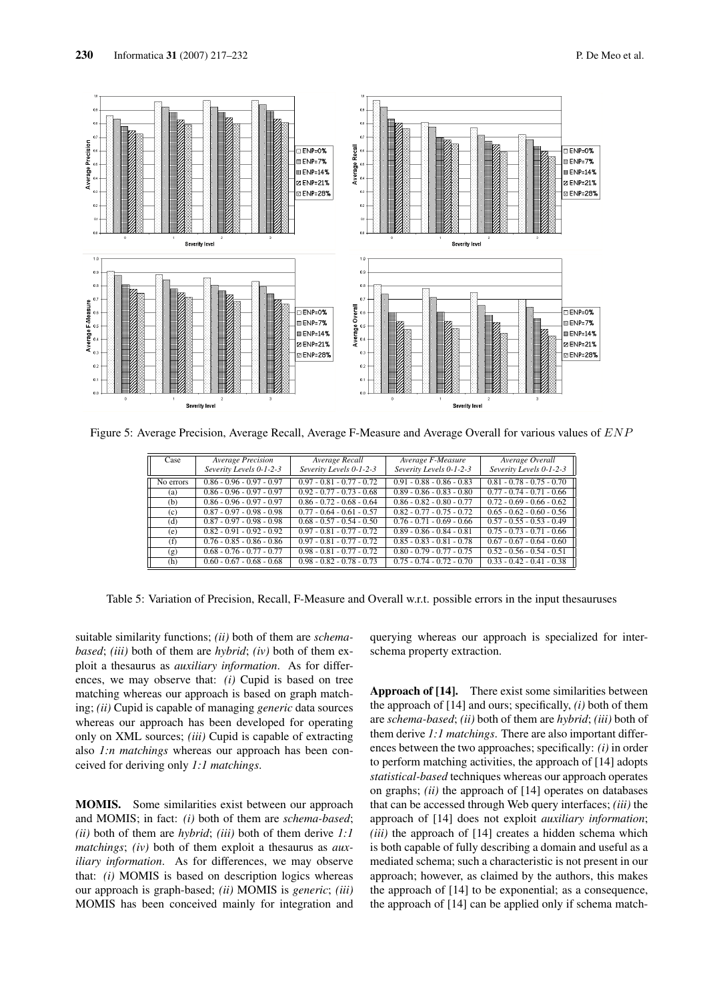

Figure 5: Average Precision, Average Recall, Average F-Measure and Average Overall for various values of ENP

| Case      | <b>Average Precision</b>    | Average Recall              | Average F-Measure           | Average Overall             |
|-----------|-----------------------------|-----------------------------|-----------------------------|-----------------------------|
|           | Severity Levels 0-1-2-3     | Severity Levels 0-1-2-3     | Severity Levels 0-1-2-3     | Severity Levels 0-1-2-3     |
| No errors | $0.86 - 0.96 - 0.97 - 0.97$ | $0.97 - 0.81 - 0.77 - 0.72$ | $0.91 - 0.88 - 0.86 - 0.83$ | $0.81 - 0.78 - 0.75 - 0.70$ |
| (a)       | $0.86 - 0.96 - 0.97 - 0.97$ | $0.92 - 0.77 - 0.73 - 0.68$ | $0.89 - 0.86 - 0.83 - 0.80$ | $0.77 - 0.74 - 0.71 - 0.66$ |
| (b)       | $0.86 - 0.96 - 0.97 - 0.97$ | $0.86 - 0.72 - 0.68 - 0.64$ | $0.86 - 0.82 - 0.80 - 0.77$ | $0.72 - 0.69 - 0.66 - 0.62$ |
| (c)       | $0.87 - 0.97 - 0.98 - 0.98$ | $0.77 - 0.64 - 0.61 - 0.57$ | $0.82 - 0.77 - 0.75 - 0.72$ | $0.65 - 0.62 - 0.60 - 0.56$ |
| (d)       | $0.87 - 0.97 - 0.98 - 0.98$ | $0.68 - 0.57 - 0.54 - 0.50$ | $0.76 - 0.71 - 0.69 - 0.66$ | $0.57 - 0.55 - 0.53 - 0.49$ |
| (e)       | $0.82 - 0.91 - 0.92 - 0.92$ | $0.97 - 0.81 - 0.77 - 0.72$ | $0.89 - 0.86 - 0.84 - 0.81$ | $0.75 - 0.73 - 0.71 - 0.66$ |
| (f)       | $0.76 - 0.85 - 0.86 - 0.86$ | $0.97 - 0.81 - 0.77 - 0.72$ | $0.85 - 0.83 - 0.81 - 0.78$ | $0.67 - 0.67 - 0.64 - 0.60$ |
| (g)       | $0.68 - 0.76 - 0.77 - 0.77$ | $0.98 - 0.81 - 0.77 - 0.72$ | $0.80 - 0.79 - 0.77 - 0.75$ | $0.52 - 0.56 - 0.54 - 0.51$ |
| (h)       | $0.60 - 0.67 - 0.68 - 0.68$ | $0.98 - 0.82 - 0.78 - 0.73$ | $0.75 - 0.74 - 0.72 - 0.70$ | $0.33 - 0.42 - 0.41 - 0.38$ |

Table 5: Variation of Precision, Recall, F-Measure and Overall w.r.t. possible errors in the input thesauruses

suitable similarity functions; *(ii)* both of them are *schemabased*; *(iii)* both of them are *hybrid*; *(iv)* both of them exploit a thesaurus as *auxiliary information*. As for differences, we may observe that: *(i)* Cupid is based on tree matching whereas our approach is based on graph matching; *(ii)* Cupid is capable of managing *generic* data sources whereas our approach has been developed for operating only on XML sources; *(iii)* Cupid is capable of extracting also *1:n matchings* whereas our approach has been conceived for deriving only *1:1 matchings*.

MOMIS. Some similarities exist between our approach and MOMIS; in fact: *(i)* both of them are *schema-based*; *(ii)* both of them are *hybrid*; *(iii)* both of them derive *1:1 matchings*; *(iv)* both of them exploit a thesaurus as *auxiliary information*. As for differences, we may observe that: *(i)* MOMIS is based on description logics whereas our approach is graph-based; *(ii)* MOMIS is *generic*; *(iii)* MOMIS has been conceived mainly for integration and querying whereas our approach is specialized for interschema property extraction.

Approach of [14]. There exist some similarities between the approach of [14] and ours; specifically, *(i)* both of them are *schema-based*; *(ii)* both of them are *hybrid*; *(iii)* both of them derive *1:1 matchings*. There are also important differences between the two approaches; specifically: *(i)* in order to perform matching activities, the approach of [14] adopts *statistical-based* techniques whereas our approach operates on graphs; *(ii)* the approach of [14] operates on databases that can be accessed through Web query interfaces; *(iii)* the approach of [14] does not exploit *auxiliary information*; *(iii)* the approach of [14] creates a hidden schema which is both capable of fully describing a domain and useful as a mediated schema; such a characteristic is not present in our approach; however, as claimed by the authors, this makes the approach of [14] to be exponential; as a consequence, the approach of [14] can be applied only if schema match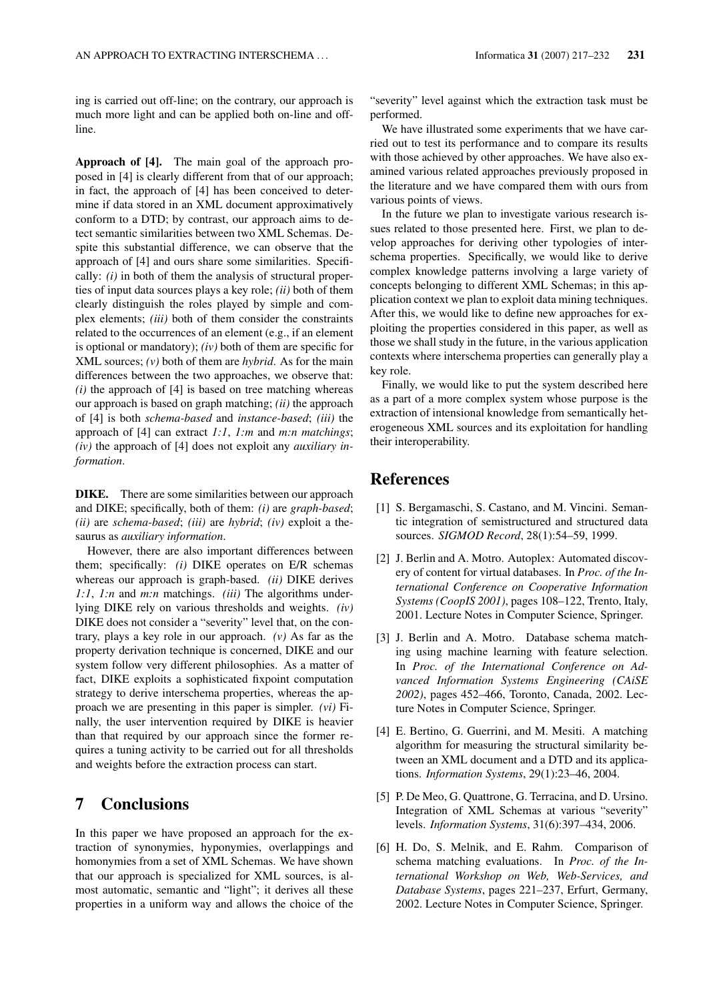ing is carried out off-line; on the contrary, our approach is much more light and can be applied both on-line and offline.

Approach of [4]. The main goal of the approach proposed in [4] is clearly different from that of our approach; in fact, the approach of [4] has been conceived to determine if data stored in an XML document approximatively conform to a DTD; by contrast, our approach aims to detect semantic similarities between two XML Schemas. Despite this substantial difference, we can observe that the approach of [4] and ours share some similarities. Specifically: *(i)* in both of them the analysis of structural properties of input data sources plays a key role; *(ii)* both of them clearly distinguish the roles played by simple and complex elements; *(iii)* both of them consider the constraints related to the occurrences of an element (e.g., if an element is optional or mandatory); *(iv)* both of them are specific for XML sources; *(v)* both of them are *hybrid*. As for the main differences between the two approaches, we observe that: *(i)* the approach of [4] is based on tree matching whereas our approach is based on graph matching; *(ii)* the approach of [4] is both *schema-based* and *instance-based*; *(iii)* the approach of [4] can extract *1:1*, *1:m* and *m:n matchings*; *(iv)* the approach of [4] does not exploit any *auxiliary information*.

DIKE. There are some similarities between our approach and DIKE; specifically, both of them: *(i)* are *graph-based*; *(ii)* are *schema-based*; *(iii)* are *hybrid*; *(iv)* exploit a thesaurus as *auxiliary information*.

However, there are also important differences between them; specifically: *(i)* DIKE operates on E/R schemas whereas our approach is graph-based. *(ii)* DIKE derives *1:1*, *1:n* and *m:n* matchings. *(iii)* The algorithms underlying DIKE rely on various thresholds and weights. *(iv)* DIKE does not consider a "severity" level that, on the contrary, plays a key role in our approach. *(v)* As far as the property derivation technique is concerned, DIKE and our system follow very different philosophies. As a matter of fact, DIKE exploits a sophisticated fixpoint computation strategy to derive interschema properties, whereas the approach we are presenting in this paper is simpler. *(vi)* Finally, the user intervention required by DIKE is heavier than that required by our approach since the former requires a tuning activity to be carried out for all thresholds and weights before the extraction process can start.

## 7 Conclusions

In this paper we have proposed an approach for the extraction of synonymies, hyponymies, overlappings and homonymies from a set of XML Schemas. We have shown that our approach is specialized for XML sources, is almost automatic, semantic and "light"; it derives all these properties in a uniform way and allows the choice of the "severity" level against which the extraction task must be performed.

We have illustrated some experiments that we have carried out to test its performance and to compare its results with those achieved by other approaches. We have also examined various related approaches previously proposed in the literature and we have compared them with ours from various points of views.

In the future we plan to investigate various research issues related to those presented here. First, we plan to develop approaches for deriving other typologies of interschema properties. Specifically, we would like to derive complex knowledge patterns involving a large variety of concepts belonging to different XML Schemas; in this application context we plan to exploit data mining techniques. After this, we would like to define new approaches for exploiting the properties considered in this paper, as well as those we shall study in the future, in the various application contexts where interschema properties can generally play a key role.

Finally, we would like to put the system described here as a part of a more complex system whose purpose is the extraction of intensional knowledge from semantically heterogeneous XML sources and its exploitation for handling their interoperability.

## References

- [1] S. Bergamaschi, S. Castano, and M. Vincini. Semantic integration of semistructured and structured data sources. *SIGMOD Record*, 28(1):54–59, 1999.
- [2] J. Berlin and A. Motro. Autoplex: Automated discovery of content for virtual databases. In *Proc. of the International Conference on Cooperative Information Systems (CoopIS 2001)*, pages 108–122, Trento, Italy, 2001. Lecture Notes in Computer Science, Springer.
- [3] J. Berlin and A. Motro. Database schema matching using machine learning with feature selection. In *Proc. of the International Conference on Advanced Information Systems Engineering (CAiSE 2002)*, pages 452–466, Toronto, Canada, 2002. Lecture Notes in Computer Science, Springer.
- [4] E. Bertino, G. Guerrini, and M. Mesiti. A matching algorithm for measuring the structural similarity between an XML document and a DTD and its applications. *Information Systems*, 29(1):23–46, 2004.
- [5] P. De Meo, G. Quattrone, G. Terracina, and D. Ursino. Integration of XML Schemas at various "severity" levels. *Information Systems*, 31(6):397–434, 2006.
- [6] H. Do, S. Melnik, and E. Rahm. Comparison of schema matching evaluations. In *Proc. of the International Workshop on Web, Web-Services, and Database Systems*, pages 221–237, Erfurt, Germany, 2002. Lecture Notes in Computer Science, Springer.